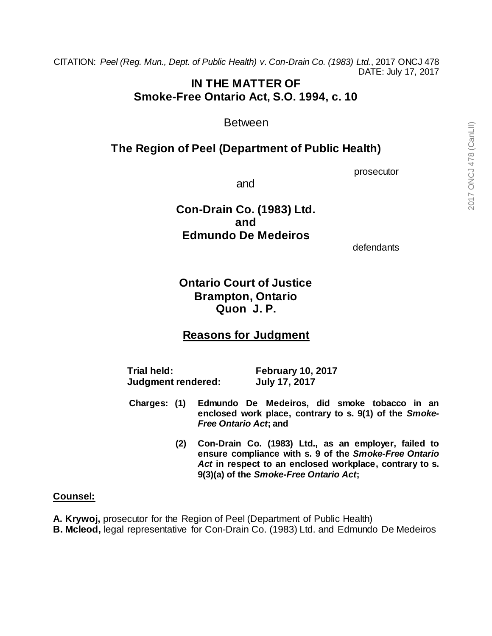# **IN THE MATTER OF Smoke-Free Ontario Act, S.O. 1994, c. 10**

Between

# **The Region of Peel (Department of Public Health)**

prosecutor

and

# **Con-Drain Co. (1983) Ltd. and Edmundo De Medeiros**

defendants

# **Ontario Court of Justice Brampton, Ontario Quon J. P.**

# **Reasons for Judgment**

**Trial held: February 10, 2017 Judgment rendered: July 17, 2017**

- **Charges: (1) Edmundo De Medeiros, did smoke tobacco in an enclosed work place, contrary to s. 9(1) of the** *Smoke-Free Ontario Act***; and**
	- **(2) Con-Drain Co. (1983) Ltd., as an employer, failed to ensure compliance with s. 9 of the** *Smoke-Free Ontario Act* **in respect to an enclosed workplace, contrary to s. 9(3)(a) of the** *Smoke-Free Ontario Act***;**

# **Counsel:**

- **A. Krywoj,** prosecutor for the Region of Peel (Department of Public Health)
- **B. Mcleod,** legal representative for Con-Drain Co. (1983) Ltd. and Edmundo De Medeiros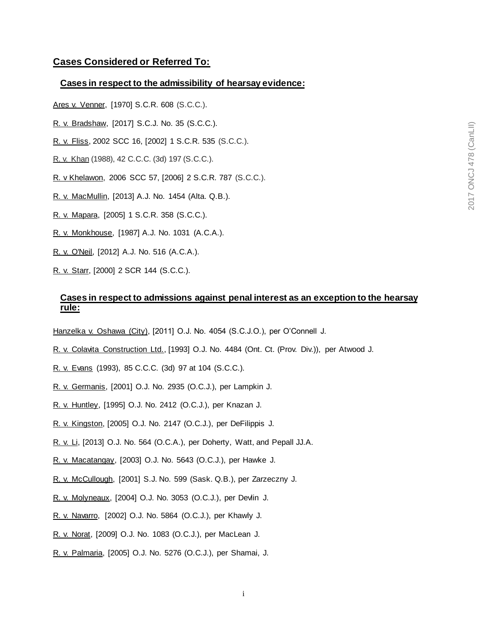# **Cases Considered or Referred To:**

#### **Cases in respect to the admissibility of hearsay evidence:**

Ares v. Venner, [1970] S.C.R. 608 (S.C.C.).

R. v. Bradshaw, [2017] S.C.J. No. 35 (S.C.C.).

R. v. Fliss, 2002 SCC 16, [2002] 1 S.C.R. 535 (S.C.C.).

R. v. Khan (1988), 42 C.C.C. (3d) 197 (S.C.C.).

R. v Khelawon, 2006 SCC 57, [2006] 2 S.C.R. 787 (S.C.C.).

R. v. MacMullin, [2013] A.J. No. 1454 (Alta. Q.B.).

R. v. Mapara, [2005] 1 S.C.R. 358 (S.C.C.).

- R. v. Monkhouse, [1987] A.J. No. 1031 (A.C.A.).
- R. v. O'Neil, [2012] A.J. No. 516 (A.C.A.).
- R. v. Starr, [2000] 2 SCR 144 (S.C.C.).

### **Cases in respect to admissions against penal interest as an exception to the hearsay rule:**

Hanzelka v. Oshawa (City), [2011] O.J. No. 4054 (S.C.J.O.), per O'Connell J.

- R. v. Colavita Construction Ltd., [1993] O.J. No. 4484 (Ont. Ct. (Prov. Div.)), per Atwood J.
- R. v. Evans (1993), 85 C.C.C. (3d) 97 at 104 (S.C.C.).
- R. v. Germanis, [2001] O.J. No. 2935 (O.C.J.), per Lampkin J.
- R. v. Huntley, [1995] O.J. No. 2412 (O.C.J.), per Knazan J.
- R. v. Kingston, [2005] O.J. No. 2147 (O.C.J.), per DeFilippis J.
- R. v. Li, [2013] O.J. No. 564 (O.C.A.), per Doherty, Watt, and Pepall JJ.A.
- R. v. Macatangay, [2003] O.J. No. 5643 (O.C.J.), per Hawke J.
- R. v. McCullough, [2001] S.J. No. 599 (Sask. Q.B.), per Zarzeczny J.
- R. v. Molyneaux, [2004] O.J. No. 3053 (O.C.J.), per Devlin J.
- R. v. Navarro, [2002] O.J. No. 5864 (O.C.J.), per Khawly J.
- R. v. Norat, [2009] O.J. No. 1083 (O.C.J.), per MacLean J.
- R. v. Palmaria, [2005] O.J. No. 5276 (O.C.J.), per Shamai, J.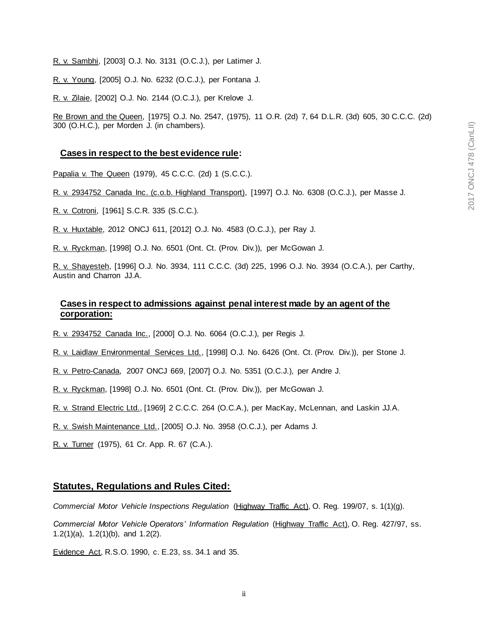R. v. Sambhi, [2003] O.J. No. 3131 (O.C.J.), per Latimer J.

R. v. Young, [2005] O.J. No. 6232 (O.C.J.), per Fontana J.

R. v. Zilaie, [2002] O.J. No. 2144 (O.C.J.), per Krelove J.

Re Brown and the Queen, [1975] O.J. No. 2547, (1975), 11 O.R. (2d) 7, 64 D.L.R. (3d) 605, 30 C.C.C. (2d) 300 (O.H.C.), per Morden J. (in chambers).

#### **Cases in respect to the best evidence rule:**

Papalia v. The Queen (1979), 45 C.C.C. (2d) 1 (S.C.C.).

R. v. 2934752 Canada Inc. (c.o.b. Highland Transport), [1997] O.J. No. 6308 (O.C.J.), per Masse J.

R. v. Cotroni, [1961] S.C.R. 335 (S.C.C.).

R. v. Huxtable, 2012 ONCJ 611, [2012] O.J. No. 4583 (O.C.J.), per Ray J.

R. v. Ryckman, [1998] O.J. No. 6501 (Ont. Ct. (Prov. Div.)), per McGowan J.

R. v. Shayesteh, [1996] O.J. No. 3934, 111 C.C.C. (3d) 225, 1996 O.J. No. 3934 (O.C.A.), per Carthy, Austin and Charron JJ.A.

#### **Cases in respect to admissions against penal interest made by an agent of the corporation:**

- R. v. 2934752 Canada Inc., [2000] O.J. No. 6064 (O.C.J.), per Regis J.
- R. v. Laidlaw Environmental Services Ltd., [1998] O.J. No. 6426 (Ont. Ct. (Prov. Div.)), per Stone J.
- R. v. Petro-Canada, 2007 ONCJ 669, [2007] O.J. No. 5351 (O.C.J.), per Andre J.
- R. v. Ryckman, [1998] O.J. No. 6501 (Ont. Ct. (Prov. Div.)), per McGowan J.
- R. v. Strand Electric Ltd., [1969] 2 C.C.C. 264 (O.C.A.), per MacKay, McLennan, and Laskin JJ.A.
- R. v. Swish Maintenance Ltd., [2005] O.J. No. 3958 (O.C.J.), per Adams J.
- R. v. Turner (1975), 61 Cr. App. R. 67 (C.A.).

#### **Statutes, Regulations and Rules Cited:**

*Commercial Motor Vehicle Inspections Regulation* (Highway Traffic Act), O. Reg. 199/07, s. 1(1)(g).

*Commercial Motor Vehicle Operators' Information Regulation* (Highway Traffic Act), O. Reg. 427/97, ss. 1.2(1)(a), 1.2(1)(b), and 1.2(2).

Evidence Act, R.S.O. 1990, c. E.23, ss. 34.1 and 35.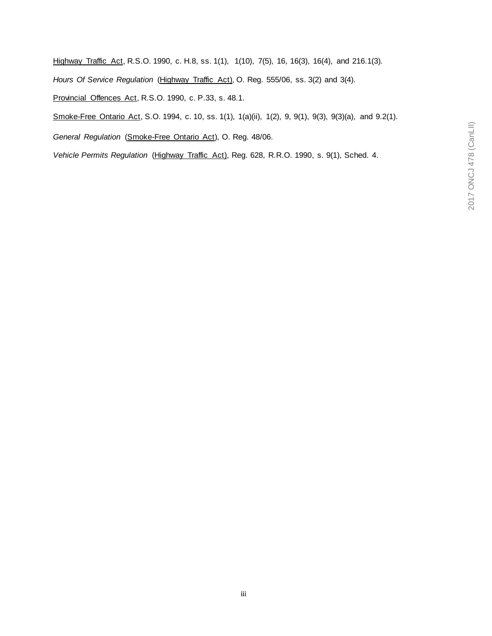Highway Traffic Act, R.S.O. 1990, c. H.8, ss. 1(1), 1(10), 7(5), 16, 16(3), 16(4), and 216.1(3).

*Hours Of Service Regulation* (Highway Traffic Act), O. Reg. 555/06, ss. 3(2) and 3(4).

Provincial Offences Act, R.S.O. 1990, c. P.33, s. 48.1.

Smoke-Free Ontario Act, S.O. 1994, c. 10, ss. 1(1), 1(a)(ii), 1(2), 9, 9(1), 9(3), 9(3)(a), and 9.2(1).

*General Regulation* (Smoke-Free Ontario Act), O. Reg. 48/06.

*Vehicle Permits Regulation* (Highway Traffic Act), Reg. 628, R.R.O. 1990, s. 9(1), Sched. 4.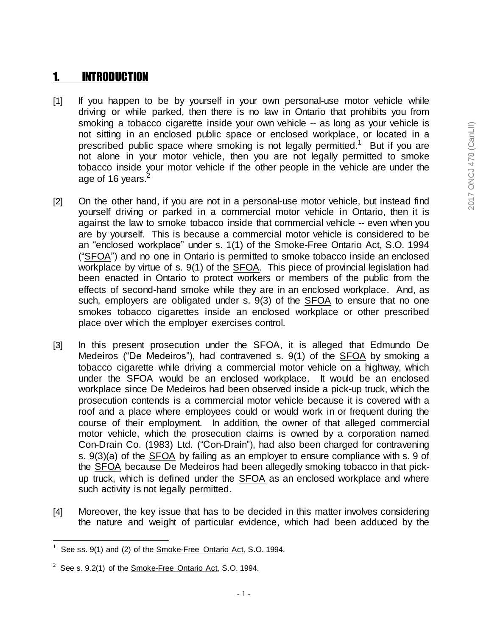# 1. INTRODUCTION

- [1] If you happen to be by yourself in your own personal-use motor vehicle while driving or while parked, then there is no law in Ontario that prohibits you from smoking a tobacco cigarette inside your own vehicle -- as long as your vehicle is not sitting in an enclosed public space or enclosed workplace, or located in a prescribed public space where smoking is not legally permitted.<sup>1</sup> But if you are not alone in your motor vehicle, then you are not legally permitted to smoke tobacco inside your motor vehicle if the other people in the vehicle are under the age of 16 years.<sup>2</sup>
- [2] On the other hand, if you are not in a personal-use motor vehicle, but instead find yourself driving or parked in a commercial motor vehicle in Ontario, then it is against the law to smoke tobacco inside that commercial vehicle -- even when you are by yourself. This is because a commercial motor vehicle is considered to be an "enclosed workplace" under s. 1(1) of the Smoke-Free Ontario Act, S.O. 1994 ("SFOA") and no one in Ontario is permitted to smoke tobacco inside an enclosed workplace by virtue of s. 9(1) of the SFOA. This piece of provincial legislation had been enacted in Ontario to protect workers or members of the public from the effects of second-hand smoke while they are in an enclosed workplace. And, as such, employers are obligated under s. 9(3) of the SFOA to ensure that no one smokes tobacco cigarettes inside an enclosed workplace or other prescribed place over which the employer exercises control.
- [3] In this present prosecution under the **SFOA**, it is alleged that Edmundo De Medeiros ("De Medeiros"), had contravened s. 9(1) of the **SFOA** by smoking a tobacco cigarette while driving a commercial motor vehicle on a highway, which under the SFOA would be an enclosed workplace. It would be an enclosed workplace since De Medeiros had been observed inside a pick-up truck, which the prosecution contends is a commercial motor vehicle because it is covered with a roof and a place where employees could or would work in or frequent during the course of their employment. In addition, the owner of that alleged commercial motor vehicle, which the prosecution claims is owned by a corporation named Con-Drain Co. (1983) Ltd. ("Con-Drain"), had also been charged for contravening s. 9(3)(a) of the SFOA by failing as an employer to ensure compliance with s. 9 of the SFOA because De Medeiros had been allegedly smoking tobacco in that pickup truck, which is defined under the SFOA as an enclosed workplace and where such activity is not legally permitted.
- [4] Moreover, the key issue that has to be decided in this matter involves considering the nature and weight of particular evidence, which had been adduced by the

l

 $1$  See ss. 9(1) and (2) of the  $S$ moke-Free Ontario Act, S.O. 1994.

 $2^{2}$  See s. 9.2(1) of the  $S$ moke-Free Ontario Act, S.O. 1994.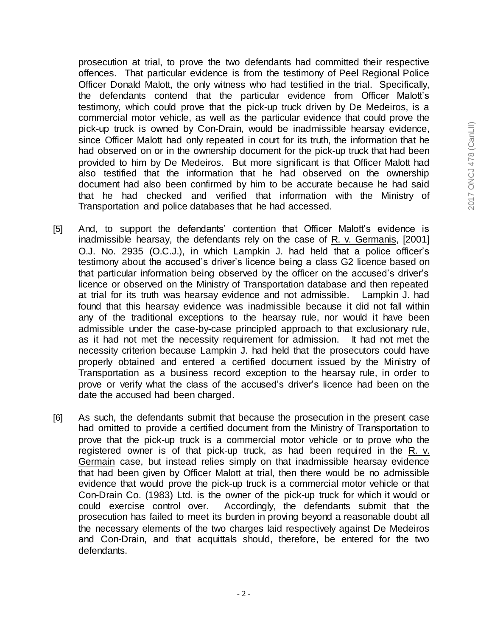prosecution at trial, to prove the two defendants had committed their respective offences. That particular evidence is from the testimony of Peel Regional Police Officer Donald Malott, the only witness who had testified in the trial. Specifically, the defendants contend that the particular evidence from Officer Malott's testimony, which could prove that the pick-up truck driven by De Medeiros, is a commercial motor vehicle, as well as the particular evidence that could prove the pick-up truck is owned by Con-Drain, would be inadmissible hearsay evidence, since Officer Malott had only repeated in court for its truth, the information that he had observed on or in the ownership document for the pick-up truck that had been provided to him by De Medeiros. But more significant is that Officer Malott had also testified that the information that he had observed on the ownership document had also been confirmed by him to be accurate because he had said that he had checked and verified that information with the Ministry of Transportation and police databases that he had accessed.

- [5] And, to support the defendants' contention that Officer Malott's evidence is inadmissible hearsay, the defendants rely on the case of R. v. Germanis, [2001] O.J. No. 2935 (O.C.J.), in which Lampkin J. had held that a police officer's testimony about the accused's driver's licence being a class G2 licence based on that particular information being observed by the officer on the accused's driver's licence or observed on the Ministry of Transportation database and then repeated at trial for its truth was hearsay evidence and not admissible. Lampkin J. had found that this hearsay evidence was inadmissible because it did not fall within any of the traditional exceptions to the hearsay rule, nor would it have been admissible under the case-by-case principled approach to that exclusionary rule, as it had not met the necessity requirement for admission. It had not met the necessity criterion because Lampkin J. had held that the prosecutors could have properly obtained and entered a certified document issued by the Ministry of Transportation as a business record exception to the hearsay rule, in order to prove or verify what the class of the accused's driver's licence had been on the date the accused had been charged.
- [6] As such, the defendants submit that because the prosecution in the present case had omitted to provide a certified document from the Ministry of Transportation to prove that the pick-up truck is a commercial motor vehicle or to prove who the registered owner is of that pick-up truck, as had been required in the R.  $v$ . Germain case, but instead relies simply on that inadmissible hearsay evidence that had been given by Officer Malott at trial, then there would be no admissible evidence that would prove the pick-up truck is a commercial motor vehicle or that Con-Drain Co. (1983) Ltd. is the owner of the pick-up truck for which it would or could exercise control over. Accordingly, the defendants submit that the prosecution has failed to meet its burden in proving beyond a reasonable doubt all the necessary elements of the two charges laid respectively against De Medeiros and Con-Drain, and that acquittals should, therefore, be entered for the two defendants.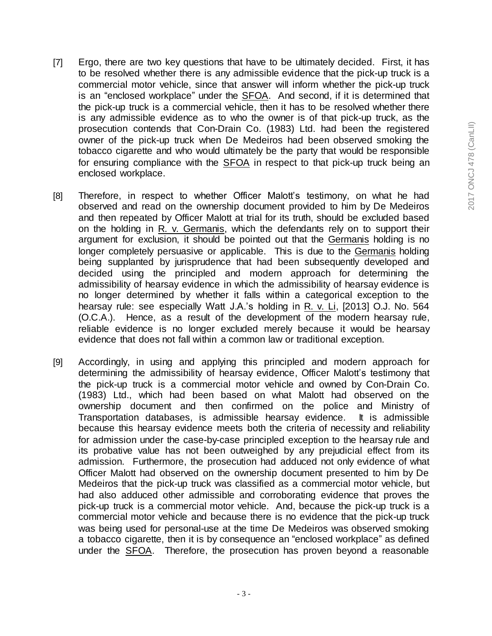- [7] Ergo, there are two key questions that have to be ultimately decided. First, it has to be resolved whether there is any admissible evidence that the pick-up truck is a commercial motor vehicle, since that answer will inform whether the pick-up truck is an "enclosed workplace" under the SFOA. And second, if it is determined that the pick-up truck is a commercial vehicle, then it has to be resolved whether there is any admissible evidence as to who the owner is of that pick-up truck, as the prosecution contends that Con-Drain Co. (1983) Ltd. had been the registered owner of the pick-up truck when De Medeiros had been observed smoking the tobacco cigarette and who would ultimately be the party that would be responsible for ensuring compliance with the SFOA in respect to that pick-up truck being an enclosed workplace.
- [8] Therefore, in respect to whether Officer Malott's testimony, on what he had observed and read on the ownership document provided to him by De Medeiros and then repeated by Officer Malott at trial for its truth, should be excluded based on the holding in R. v. Germanis, which the defendants rely on to support their argument for exclusion, it should be pointed out that the Germanis holding is no longer completely persuasive or applicable. This is due to the Germanis holding being supplanted by jurisprudence that had been subsequently developed and decided using the principled and modern approach for determining the admissibility of hearsay evidence in which the admissibility of hearsay evidence is no longer determined by whether it falls within a categorical exception to the hearsay rule: see especially Watt J.A.'s holding in R. v. Li, [2013] O.J. No. 564 (O.C.A.). Hence, as a result of the development of the modern hearsay rule, reliable evidence is no longer excluded merely because it would be hearsay evidence that does not fall within a common law or traditional exception.
- [9] Accordingly, in using and applying this principled and modern approach for determining the admissibility of hearsay evidence, Officer Malott's testimony that the pick-up truck is a commercial motor vehicle and owned by Con-Drain Co. (1983) Ltd., which had been based on what Malott had observed on the ownership document and then confirmed on the police and Ministry of Transportation databases, is admissible hearsay evidence. It is admissible because this hearsay evidence meets both the criteria of necessity and reliability for admission under the case-by-case principled exception to the hearsay rule and its probative value has not been outweighed by any prejudicial effect from its admission. Furthermore, the prosecution had adduced not only evidence of what Officer Malott had observed on the ownership document presented to him by De Medeiros that the pick-up truck was classified as a commercial motor vehicle, but had also adduced other admissible and corroborating evidence that proves the pick-up truck is a commercial motor vehicle. And, because the pick-up truck is a commercial motor vehicle and because there is no evidence that the pick-up truck was being used for personal-use at the time De Medeiros was observed smoking a tobacco cigarette, then it is by consequence an "enclosed workplace" as defined under the SFOA. Therefore, the prosecution has proven beyond a reasonable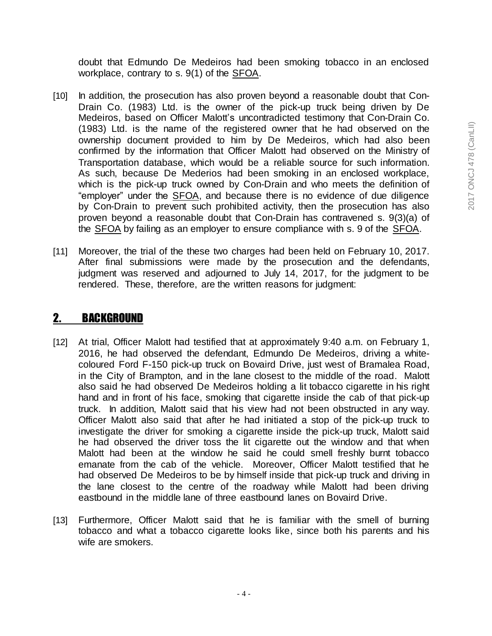doubt that Edmundo De Medeiros had been smoking tobacco in an enclosed workplace, contrary to s. 9(1) of the SFOA.

- [10] In addition, the prosecution has also proven beyond a reasonable doubt that Con-Drain Co. (1983) Ltd. is the owner of the pick-up truck being driven by De Medeiros, based on Officer Malott's uncontradicted testimony that Con-Drain Co. (1983) Ltd. is the name of the registered owner that he had observed on the ownership document provided to him by De Medeiros, which had also been confirmed by the information that Officer Malott had observed on the Ministry of Transportation database, which would be a reliable source for such information. As such, because De Mederios had been smoking in an enclosed workplace, which is the pick-up truck owned by Con-Drain and who meets the definition of "employer" under the SFOA, and because there is no evidence of due diligence by Con-Drain to prevent such prohibited activity, then the prosecution has also proven beyond a reasonable doubt that Con-Drain has contravened s. 9(3)(a) of the SFOA by failing as an employer to ensure compliance with s. 9 of the SFOA.
- [11] Moreover, the trial of the these two charges had been held on February 10, 2017. After final submissions were made by the prosecution and the defendants, judgment was reserved and adjourned to July 14, 2017, for the judgment to be rendered. These, therefore, are the written reasons for judgment:

# 2. BACKGROUND

- [12] At trial, Officer Malott had testified that at approximately 9:40 a.m. on February 1, 2016, he had observed the defendant, Edmundo De Medeiros, driving a whitecoloured Ford F-150 pick-up truck on Bovaird Drive, just west of Bramalea Road, in the City of Brampton, and in the lane closest to the middle of the road. Malott also said he had observed De Medeiros holding a lit tobacco cigarette in his right hand and in front of his face, smoking that cigarette inside the cab of that pick-up truck. In addition, Malott said that his view had not been obstructed in any way. Officer Malott also said that after he had initiated a stop of the pick-up truck to investigate the driver for smoking a cigarette inside the pick-up truck, Malott said he had observed the driver toss the lit cigarette out the window and that when Malott had been at the window he said he could smell freshly burnt tobacco emanate from the cab of the vehicle. Moreover, Officer Malott testified that he had observed De Medeiros to be by himself inside that pick-up truck and driving in the lane closest to the centre of the roadway while Malott had been driving eastbound in the middle lane of three eastbound lanes on Bovaird Drive.
- [13] Furthermore, Officer Malott said that he is familiar with the smell of burning tobacco and what a tobacco cigarette looks like, since both his parents and his wife are smokers.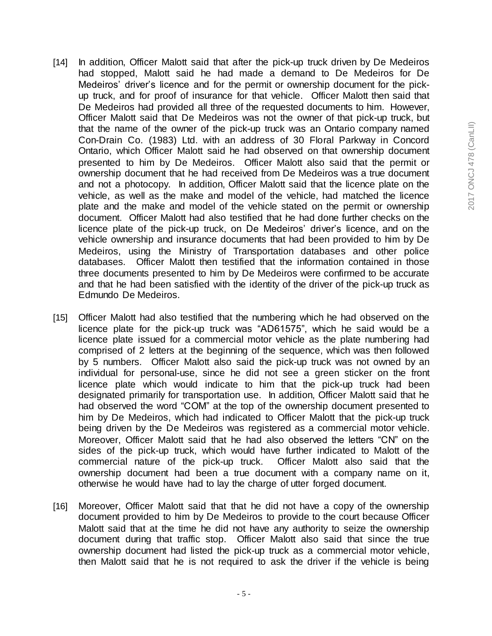- [14] In addition, Officer Malott said that after the pick-up truck driven by De Medeiros had stopped, Malott said he had made a demand to De Medeiros for De Medeiros' driver's licence and for the permit or ownership document for the pickup truck, and for proof of insurance for that vehicle. Officer Malott then said that De Medeiros had provided all three of the requested documents to him. However, Officer Malott said that De Medeiros was not the owner of that pick-up truck, but that the name of the owner of the pick-up truck was an Ontario company named Con-Drain Co. (1983) Ltd. with an address of 30 Floral Parkway in Concord Ontario, which Officer Malott said he had observed on that ownership document presented to him by De Medeiros. Officer Malott also said that the permit or ownership document that he had received from De Medeiros was a true document and not a photocopy. In addition, Officer Malott said that the licence plate on the vehicle, as well as the make and model of the vehicle, had matched the licence plate and the make and model of the vehicle stated on the permit or ownership document. Officer Malott had also testified that he had done further checks on the licence plate of the pick-up truck, on De Medeiros' driver's licence, and on the vehicle ownership and insurance documents that had been provided to him by De Medeiros, using the Ministry of Transportation databases and other police databases. Officer Malott then testified that the information contained in those three documents presented to him by De Medeiros were confirmed to be accurate and that he had been satisfied with the identity of the driver of the pick-up truck as Edmundo De Medeiros.
- [15] Officer Malott had also testified that the numbering which he had observed on the licence plate for the pick-up truck was "AD61575", which he said would be a licence plate issued for a commercial motor vehicle as the plate numbering had comprised of 2 letters at the beginning of the sequence, which was then followed by 5 numbers. Officer Malott also said the pick-up truck was not owned by an individual for personal-use, since he did not see a green sticker on the front licence plate which would indicate to him that the pick-up truck had been designated primarily for transportation use. In addition, Officer Malott said that he had observed the word "COM" at the top of the ownership document presented to him by De Medeiros, which had indicated to Officer Malott that the pick-up truck being driven by the De Medeiros was registered as a commercial motor vehicle. Moreover, Officer Malott said that he had also observed the letters "CN" on the sides of the pick-up truck, which would have further indicated to Malott of the commercial nature of the pick-up truck. Officer Malott also said that the ownership document had been a true document with a company name on it, otherwise he would have had to lay the charge of utter forged document.
- [16] Moreover, Officer Malott said that that he did not have a copy of the ownership document provided to him by De Medeiros to provide to the court because Officer Malott said that at the time he did not have any authority to seize the ownership document during that traffic stop. Officer Malott also said that since the true ownership document had listed the pick-up truck as a commercial motor vehicle, then Malott said that he is not required to ask the driver if the vehicle is being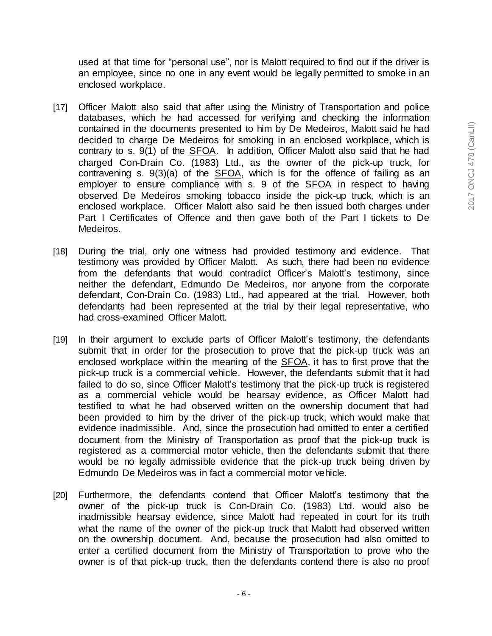used at that time for "personal use", nor is Malott required to find out if the driver is an employee, since no one in any event would be legally permitted to smoke in an enclosed workplace.

- [17] Officer Malott also said that after using the Ministry of Transportation and police databases, which he had accessed for verifying and checking the information contained in the documents presented to him by De Medeiros, Malott said he had decided to charge De Medeiros for smoking in an enclosed workplace, which is contrary to s. 9(1) of the SFOA. In addition, Officer Malott also said that he had charged Con-Drain Co. (1983) Ltd., as the owner of the pick-up truck, for contravening s. 9(3)(a) of the SFOA, which is for the offence of failing as an employer to ensure compliance with s. 9 of the SFOA in respect to having observed De Medeiros smoking tobacco inside the pick-up truck, which is an enclosed workplace. Officer Malott also said he then issued both charges under Part I Certificates of Offence and then gave both of the Part I tickets to De Medeiros.
- [18] During the trial, only one witness had provided testimony and evidence. That testimony was provided by Officer Malott. As such, there had been no evidence from the defendants that would contradict Officer's Malott's testimony, since neither the defendant, Edmundo De Medeiros, nor anyone from the corporate defendant, Con-Drain Co. (1983) Ltd., had appeared at the trial. However, both defendants had been represented at the trial by their legal representative, who had cross-examined Officer Malott.
- [19] In their argument to exclude parts of Officer Malott's testimony, the defendants submit that in order for the prosecution to prove that the pick-up truck was an enclosed workplace within the meaning of the SFOA, it has to first prove that the pick-up truck is a commercial vehicle. However, the defendants submit that it had failed to do so, since Officer Malott's testimony that the pick-up truck is registered as a commercial vehicle would be hearsay evidence, as Officer Malott had testified to what he had observed written on the ownership document that had been provided to him by the driver of the pick-up truck, which would make that evidence inadmissible. And, since the prosecution had omitted to enter a certified document from the Ministry of Transportation as proof that the pick-up truck is registered as a commercial motor vehicle, then the defendants submit that there would be no legally admissible evidence that the pick-up truck being driven by Edmundo De Medeiros was in fact a commercial motor vehicle.
- [20] Furthermore, the defendants contend that Officer Malott's testimony that the owner of the pick-up truck is Con-Drain Co. (1983) Ltd. would also be inadmissible hearsay evidence, since Malott had repeated in court for its truth what the name of the owner of the pick-up truck that Malott had observed written on the ownership document. And, because the prosecution had also omitted to enter a certified document from the Ministry of Transportation to prove who the owner is of that pick-up truck, then the defendants contend there is also no proof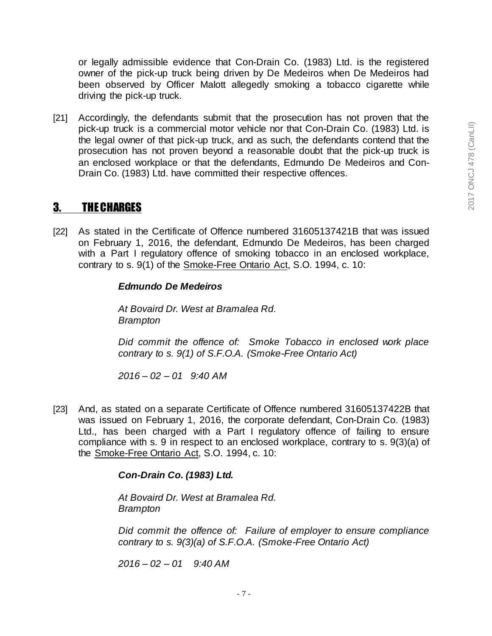or legally admissible evidence that Con-Drain Co. (1983) Ltd. is the registered owner of the pick-up truck being driven by De Medeiros when De Medeiros had been observed by Officer Malott allegedly smoking a tobacco cigarette while driving the pick-up truck.

[21] Accordingly, the defendants submit that the prosecution has not proven that the pick-up truck is a commercial motor vehicle nor that Con-Drain Co. (1983) Ltd. is the legal owner of that pick-up truck, and as such, the defendants contend that the prosecution has not proven beyond a reasonable doubt that the pick-up truck is an enclosed workplace or that the defendants, Edmundo De Medeiros and Con-Drain Co. (1983) Ltd. have committed their respective offences.

# 3. THE CHARGES

[22] As stated in the Certificate of Offence numbered 31605137421B that was issued on February 1, 2016, the defendant, Edmundo De Medeiros, has been charged with a Part I regulatory offence of smoking tobacco in an enclosed workplace, contrary to s. 9(1) of the Smoke-Free Ontario Act, S.O. 1994, c. 10:

### *Edmundo De Medeiros*

*At Bovaird Dr. West at Bramalea Rd. Brampton*

*Did commit the offence of: Smoke Tobacco in enclosed work place contrary to s. 9(1) of S.F.O.A. (Smoke-Free Ontario Act)*

*2016 – 02 – 01 9:40 AM*

[23] And, as stated on a separate Certificate of Offence numbered 31605137422B that was issued on February 1, 2016, the corporate defendant, Con-Drain Co. (1983) Ltd., has been charged with a Part I regulatory offence of failing to ensure compliance with s. 9 in respect to an enclosed workplace, contrary to s. 9(3)(a) of the Smoke-Free Ontario Act, S.O. 1994, c. 10:

### *Con-Drain Co. (1983) Ltd.*

*At Bovaird Dr. West at Bramalea Rd. Brampton*

*Did commit the offence of: Failure of employer to ensure compliance contrary to s. 9(3)(a) of S.F.O.A. (Smoke-Free Ontario Act)*

*2016 – 02 – 01 9:40 AM*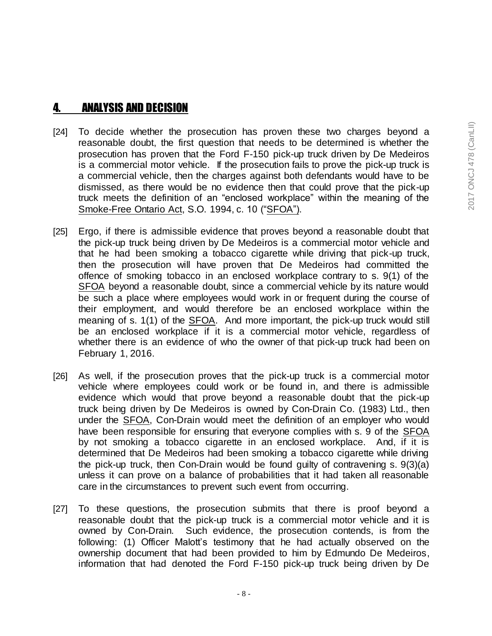# 4. ANALYSIS AND DECISION

- [24] To decide whether the prosecution has proven these two charges beyond a reasonable doubt, the first question that needs to be determined is whether the prosecution has proven that the Ford F-150 pick-up truck driven by De Medeiros is a commercial motor vehicle. If the prosecution fails to prove the pick-up truck is a commercial vehicle, then the charges against both defendants would have to be dismissed, as there would be no evidence then that could prove that the pick-up truck meets the definition of an "enclosed workplace" within the meaning of the Smoke-Free Ontario Act, S.O. 1994, c. 10 ("SFOA").
- [25] Ergo, if there is admissible evidence that proves beyond a reasonable doubt that the pick-up truck being driven by De Medeiros is a commercial motor vehicle and that he had been smoking a tobacco cigarette while driving that pick-up truck, then the prosecution will have proven that De Medeiros had committed the offence of smoking tobacco in an enclosed workplace contrary to s. 9(1) of the SFOA beyond a reasonable doubt, since a commercial vehicle by its nature would be such a place where employees would work in or frequent during the course of their employment, and would therefore be an enclosed workplace within the meaning of s. 1(1) of the SFOA. And more important, the pick-up truck would still be an enclosed workplace if it is a commercial motor vehicle, regardless of whether there is an evidence of who the owner of that pick-up truck had been on February 1, 2016.
- [26] As well, if the prosecution proves that the pick-up truck is a commercial motor vehicle where employees could work or be found in, and there is admissible evidence which would that prove beyond a reasonable doubt that the pick-up truck being driven by De Medeiros is owned by Con-Drain Co. (1983) Ltd., then under the SFOA, Con-Drain would meet the definition of an employer who would have been responsible for ensuring that everyone complies with s. 9 of the SFOA by not smoking a tobacco cigarette in an enclosed workplace. And, if it is determined that De Medeiros had been smoking a tobacco cigarette while driving the pick-up truck, then Con-Drain would be found guilty of contravening s. 9(3)(a) unless it can prove on a balance of probabilities that it had taken all reasonable care in the circumstances to prevent such event from occurring.
- [27] To these questions, the prosecution submits that there is proof beyond a reasonable doubt that the pick-up truck is a commercial motor vehicle and it is owned by Con-Drain. Such evidence, the prosecution contends, is from the following: (1) Officer Malott's testimony that he had actually observed on the ownership document that had been provided to him by Edmundo De Medeiros, information that had denoted the Ford F-150 pick-up truck being driven by De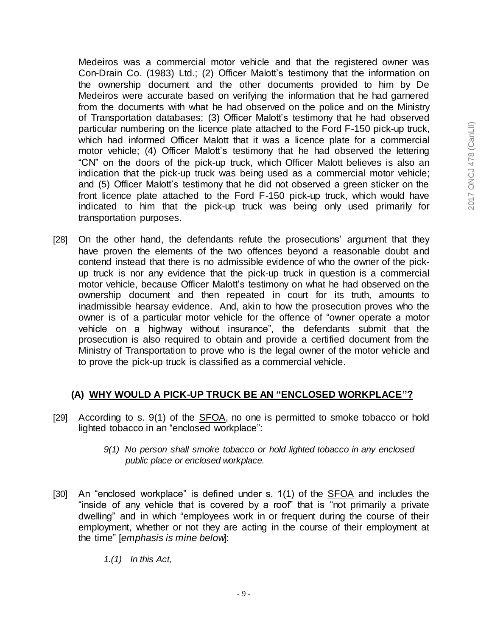Medeiros was a commercial motor vehicle and that the registered owner was Con-Drain Co. (1983) Ltd.; (2) Officer Malott's testimony that the information on the ownership document and the other documents provided to him by De Medeiros were accurate based on verifying the information that he had garnered from the documents with what he had observed on the police and on the Ministry of Transportation databases; (3) Officer Malott's testimony that he had observed particular numbering on the licence plate attached to the Ford F-150 pick-up truck, which had informed Officer Malott that it was a licence plate for a commercial motor vehicle; (4) Officer Malott's testimony that he had observed the lettering "CN" on the doors of the pick-up truck, which Officer Malott believes is also an indication that the pick-up truck was being used as a commercial motor vehicle; and (5) Officer Malott's testimony that he did not observed a green sticker on the front licence plate attached to the Ford F-150 pick-up truck, which would have indicated to him that the pick-up truck was being only used primarily for transportation purposes.

[28] On the other hand, the defendants refute the prosecutions' argument that they have proven the elements of the two offences beyond a reasonable doubt and contend instead that there is no admissible evidence of who the owner of the pickup truck is nor any evidence that the pick-up truck in question is a commercial motor vehicle, because Officer Malott's testimony on what he had observed on the ownership document and then repeated in court for its truth, amounts to inadmissible hearsay evidence. And, akin to how the prosecution proves who the owner is of a particular motor vehicle for the offence of "owner operate a motor vehicle on a highway without insurance", the defendants submit that the prosecution is also required to obtain and provide a certified document from the Ministry of Transportation to prove who is the legal owner of the motor vehicle and to prove the pick-up truck is classified as a commercial vehicle.

# **(A) WHY WOULD A PICK-UP TRUCK BE AN "ENCLOSED WORKPLACE"?**

- [29] According to s. 9(1) of the SFOA, no one is permitted to smoke tobacco or hold lighted tobacco in an "enclosed workplace":
	- *9(1) No person shall smoke tobacco or hold lighted tobacco in any enclosed public place or enclosed workplace.*
- [30] An "enclosed workplace" is defined under s. 1(1) of the SFOA and includes the "inside of any vehicle that is covered by a roof" that is "not primarily a private dwelling" and in which "employees work in or frequent during the course of their employment, whether or not they are acting in the course of their employment at the time" [*emphasis is mine below*]:

*1.(1) In this Act,*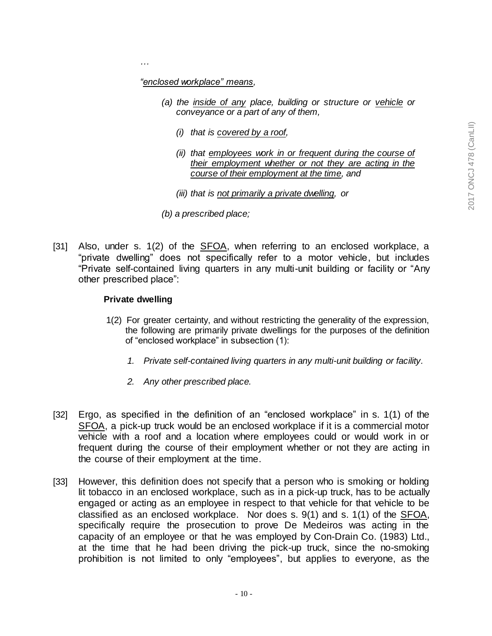*…*

*"enclosed workplace" means,*

- *(a) the inside of any place, building or structure or vehicle or conveyance or a part of any of them,*
	- *(i) that is covered by a roof,*
	- *(ii) that employees work in or frequent during the course of their employment whether or not they are acting in the course of their employment at the time, and*
	- *(iii) that is not primarily a private dwelling, or*

*(b) a prescribed place;*

[31] Also, under s. 1(2) of the SFOA, when referring to an enclosed workplace, a "private dwelling" does not specifically refer to a motor vehicle, but includes "Private self-contained living quarters in any multi-unit building or facility or "Any other prescribed place":

#### **Private dwelling**

- [1\(2\)](http://www.ontario.ca/fr/lois/loi/94t10#s1s2) For greater certainty, and without restricting the generality of the expression, the following are primarily private dwellings for the purposes of the definition of "enclosed workplace" in subsection (1):
	- *1. Private self-contained living quarters in any multi-unit building or facility.*
	- *2. Any other prescribed place.*
- [32] Ergo, as specified in the definition of an "enclosed workplace" in s. 1(1) of the SFOA, a pick-up truck would be an enclosed workplace if it is a commercial motor vehicle with a roof and a location where employees could or would work in or frequent during the course of their employment whether or not they are acting in the course of their employment at the time.
- [33] However, this definition does not specify that a person who is smoking or holding lit tobacco in an enclosed workplace, such as in a pick-up truck, has to be actually engaged or acting as an employee in respect to that vehicle for that vehicle to be classified as an enclosed workplace. Nor does s. 9(1) and s. 1(1) of the SFOA, specifically require the prosecution to prove De Medeiros was acting in the capacity of an employee or that he was employed by Con-Drain Co. (1983) Ltd., at the time that he had been driving the pick-up truck, since the no-smoking prohibition is not limited to only "employees", but applies to everyone, as the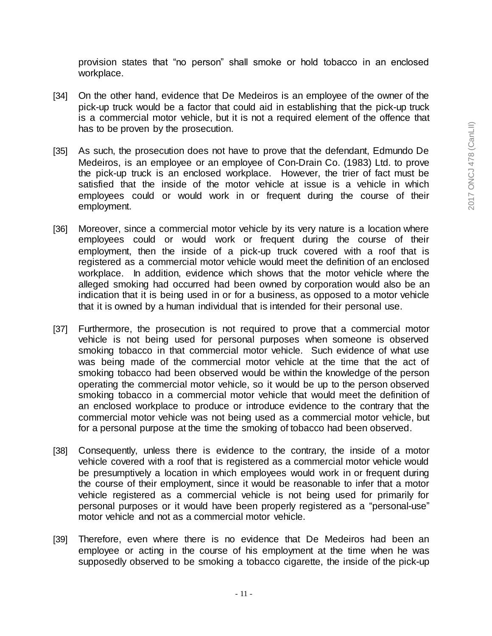provision states that "no person" shall smoke or hold tobacco in an enclosed workplace.

- [34] On the other hand, evidence that De Medeiros is an employee of the owner of the pick-up truck would be a factor that could aid in establishing that the pick-up truck is a commercial motor vehicle, but it is not a required element of the offence that has to be proven by the prosecution.
- [35] As such, the prosecution does not have to prove that the defendant, Edmundo De Medeiros, is an employee or an employee of Con-Drain Co. (1983) Ltd. to prove the pick-up truck is an enclosed workplace. However, the trier of fact must be satisfied that the inside of the motor vehicle at issue is a vehicle in which employees could or would work in or frequent during the course of their employment.
- [36] Moreover, since a commercial motor vehicle by its very nature is a location where employees could or would work or frequent during the course of their employment, then the inside of a pick-up truck covered with a roof that is registered as a commercial motor vehicle would meet the definition of an enclosed workplace. In addition, evidence which shows that the motor vehicle where the alleged smoking had occurred had been owned by corporation would also be an indication that it is being used in or for a business, as opposed to a motor vehicle that it is owned by a human individual that is intended for their personal use.
- [37] Furthermore, the prosecution is not required to prove that a commercial motor vehicle is not being used for personal purposes when someone is observed smoking tobacco in that commercial motor vehicle. Such evidence of what use was being made of the commercial motor vehicle at the time that the act of smoking tobacco had been observed would be within the knowledge of the person operating the commercial motor vehicle, so it would be up to the person observed smoking tobacco in a commercial motor vehicle that would meet the definition of an enclosed workplace to produce or introduce evidence to the contrary that the commercial motor vehicle was not being used as a commercial motor vehicle, but for a personal purpose at the time the smoking of tobacco had been observed.
- [38] Consequently, unless there is evidence to the contrary, the inside of a motor vehicle covered with a roof that is registered as a commercial motor vehicle would be presumptively a location in which employees would work in or frequent during the course of their employment, since it would be reasonable to infer that a motor vehicle registered as a commercial vehicle is not being used for primarily for personal purposes or it would have been properly registered as a "personal-use" motor vehicle and not as a commercial motor vehicle.
- [39] Therefore, even where there is no evidence that De Medeiros had been an employee or acting in the course of his employment at the time when he was supposedly observed to be smoking a tobacco cigarette, the inside of the pick-up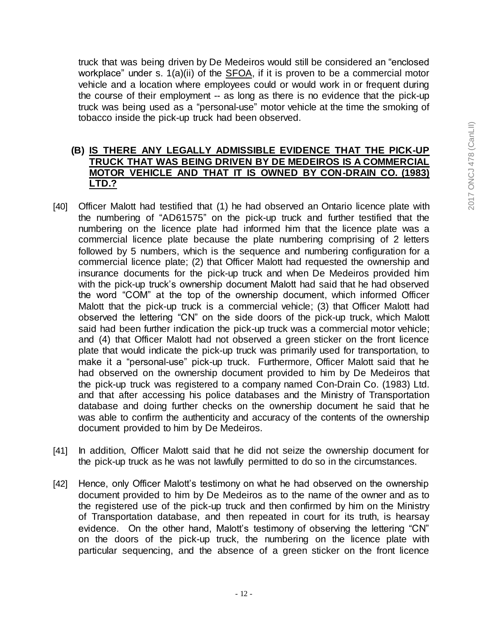truck that was being driven by De Medeiros would still be considered an "enclosed workplace" under s. 1(a)(ii) of the SFOA, if it is proven to be a commercial motor vehicle and a location where employees could or would work in or frequent during the course of their employment -- as long as there is no evidence that the pick-up truck was being used as a "personal-use" motor vehicle at the time the smoking of tobacco inside the pick-up truck had been observed.

# **(B) IS THERE ANY LEGALLY ADMISSIBLE EVIDENCE THAT THE PICK-UP TRUCK THAT WAS BEING DRIVEN BY DE MEDEIROS IS A COMMERCIAL MOTOR VEHICLE AND THAT IT IS OWNED BY CON-DRAIN CO. (1983) LTD.?**

- [40] Officer Malott had testified that (1) he had observed an Ontario licence plate with the numbering of "AD61575" on the pick-up truck and further testified that the numbering on the licence plate had informed him that the licence plate was a commercial licence plate because the plate numbering comprising of 2 letters followed by 5 numbers, which is the sequence and numbering configuration for a commercial licence plate; (2) that Officer Malott had requested the ownership and insurance documents for the pick-up truck and when De Medeiros provided him with the pick-up truck's ownership document Malott had said that he had observed the word "COM" at the top of the ownership document, which informed Officer Malott that the pick-up truck is a commercial vehicle; (3) that Officer Malott had observed the lettering "CN" on the side doors of the pick-up truck, which Malott said had been further indication the pick-up truck was a commercial motor vehicle; and (4) that Officer Malott had not observed a green sticker on the front licence plate that would indicate the pick-up truck was primarily used for transportation, to make it a "personal-use" pick-up truck. Furthermore, Officer Malott said that he had observed on the ownership document provided to him by De Medeiros that the pick-up truck was registered to a company named Con-Drain Co. (1983) Ltd. and that after accessing his police databases and the Ministry of Transportation database and doing further checks on the ownership document he said that he was able to confirm the authenticity and accuracy of the contents of the ownership document provided to him by De Medeiros.
- [41] In addition, Officer Malott said that he did not seize the ownership document for the pick-up truck as he was not lawfully permitted to do so in the circumstances.
- [42] Hence, only Officer Malott's testimony on what he had observed on the ownership document provided to him by De Medeiros as to the name of the owner and as to the registered use of the pick-up truck and then confirmed by him on the Ministry of Transportation database, and then repeated in court for its truth, is hearsay evidence. On the other hand, Malott's testimony of observing the lettering "CN" on the doors of the pick-up truck, the numbering on the licence plate with particular sequencing, and the absence of a green sticker on the front licence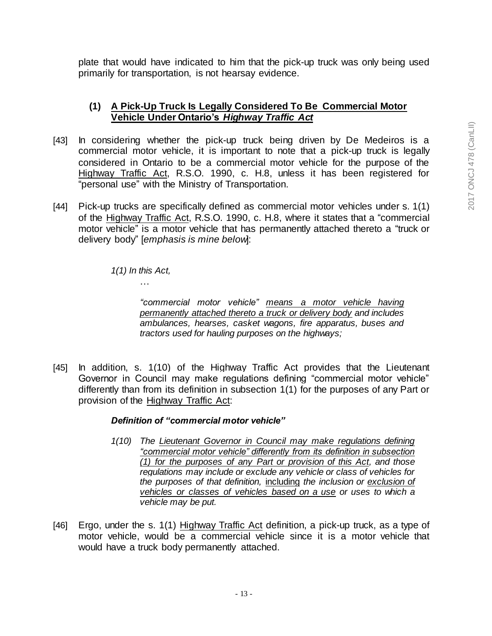plate that would have indicated to him that the pick-up truck was only being used primarily for transportation, is not hearsay evidence.

# **(1) A Pick-Up Truck Is Legally Considered To Be Commercial Motor Vehicle Under Ontario's** *Highway Traffic Act*

- [43] In considering whether the pick-up truck being driven by De Medeiros is a commercial motor vehicle, it is important to note that a pick-up truck is legally considered in Ontario to be a commercial motor vehicle for the purpose of the Highway Traffic Act, R.S.O. 1990, c. H.8, unless it has been registered for "personal use" with the Ministry of Transportation.
- [44] Pick-up trucks are specifically defined as commercial motor vehicles under s. 1(1) of the Highway Traffic Act, R.S.O. 1990, c. H.8, where it states that a "commercial motor vehicle" is a motor vehicle that has permanently attached thereto a "truck or delivery body" [*emphasis is mine below*]:

*1(1) In this Act,*

…

*"commercial motor vehicle" means a motor vehicle having permanently attached thereto a truck or delivery body and includes ambulances, hearses, casket wagons, fire apparatus, buses and tractors used for hauling purposes on the highways;*

[45] In addition, s. 1(10) of the Highway Traffic Act provides that the Lieutenant Governor in Council may make regulations defining "commercial motor vehicle" differently than from its definition in subsection 1(1) for the purposes of any Part or provision of the Highway Traffic Act:

### *Definition of "commercial motor vehicle"*

- *1(10) The Lieutenant Governor in Council may make regulations defining "commercial motor vehicle" differently from its definition in subsection (1) for the purposes of any Part or provision of this Act, and those regulations may include or exclude any vehicle or class of vehicles for the purposes of that definition,* including *the inclusion or exclusion of vehicles or classes of vehicles based on a use or uses to which a vehicle may be put.*
- [46] Ergo, under the s. 1(1) Highway Traffic Act definition, a pick-up truck, as a type of motor vehicle, would be a commercial vehicle since it is a motor vehicle that would have a truck body permanently attached.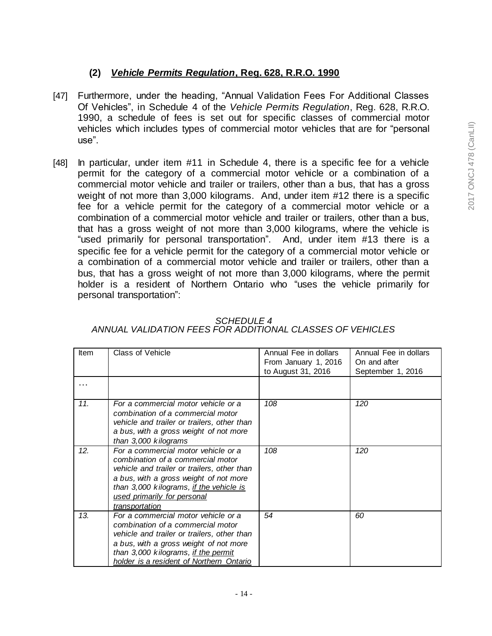# **(2)** *Vehicle Permits Regulation***, Reg. 628, R.R.O. 1990**

- [47] Furthermore, under the heading, "Annual Validation Fees For Additional Classes Of Vehicles", in Schedule 4 of the *Vehicle Permits Regulation*, Reg. 628, R.R.O. 1990, a schedule of fees is set out for specific classes of commercial motor vehicles which includes types of commercial motor vehicles that are for "personal use".
- [48] In particular, under item #11 in Schedule 4, there is a specific fee for a vehicle permit for the category of a commercial motor vehicle or a combination of a commercial motor vehicle and trailer or trailers, other than a bus, that has a gross weight of not more than 3,000 kilograms. And, under item #12 there is a specific fee for a vehicle permit for the category of a commercial motor vehicle or a combination of a commercial motor vehicle and trailer or trailers, other than a bus, that has a gross weight of not more than 3,000 kilograms, where the vehicle is "used primarily for personal transportation". And, under item #13 there is a specific fee for a vehicle permit for the category of a commercial motor vehicle or a combination of a commercial motor vehicle and trailer or trailers, other than a bus, that has a gross weight of not more than 3,000 kilograms, where the permit holder is a resident of Northern Ontario who "uses the vehicle primarily for personal transportation":

| Item | Class of Vehicle                                                                                                                                                                                                                                              | Annual Fee in dollars<br>From January 1, 2016<br>to August 31, 2016 | Annual Fee in dollars<br>On and after<br>September 1, 2016 |
|------|---------------------------------------------------------------------------------------------------------------------------------------------------------------------------------------------------------------------------------------------------------------|---------------------------------------------------------------------|------------------------------------------------------------|
|      |                                                                                                                                                                                                                                                               |                                                                     |                                                            |
| 11.  | For a commercial motor vehicle or a<br>combination of a commercial motor<br>vehicle and trailer or trailers, other than<br>a bus, with a gross weight of not more<br>than 3,000 kilograms                                                                     | 108                                                                 | 120                                                        |
| 12.  | For a commercial motor vehicle or a<br>combination of a commercial motor<br>vehicle and trailer or trailers, other than<br>a bus, with a gross weight of not more<br>than 3,000 kilograms, if the vehicle is<br>used primarily for personal<br>transportation | 108                                                                 | 120                                                        |
| 13.  | For a commercial motor vehicle or a<br>combination of a commercial motor<br>vehicle and trailer or trailers, other than<br>a bus, with a gross weight of not more<br>than 3,000 kilograms, if the permit<br>holder is a resident of Northern Ontario          | 54                                                                  | 60                                                         |

#### *SCHEDULE 4 ANNUAL VALIDATION FEES FOR ADDITIONAL CLASSES OF VEHICLES*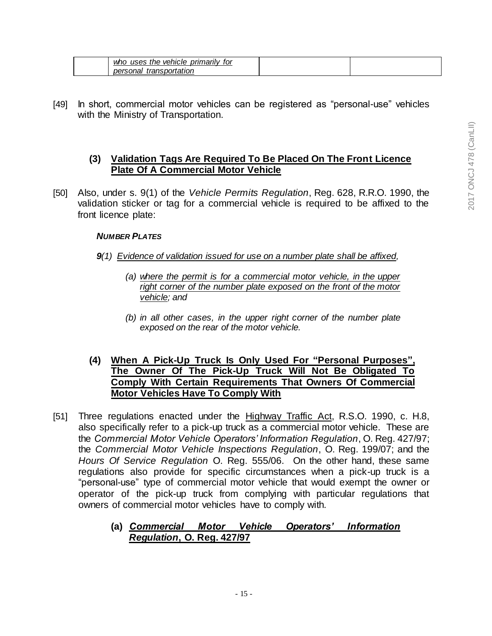| $\ddot{\phantom{0}}$<br>orimarily<br>uses<br>venic<br>the<br>whc<br>92<br>וטו |  |
|-------------------------------------------------------------------------------|--|
| one.<br>$-1$<br>.<br>וחר<br>$\overline{u}$                                    |  |

[49] In short, commercial motor vehicles can be registered as "personal-use" vehicles with the Ministry of Transportation.

### **(3) Validation Tags Are Required To Be Placed On The Front Licence Plate Of A Commercial Motor Vehicle**

[50] Also, under s. 9(1) of the *Vehicle Permits Regulation*, Reg. 628, R.R.O. 1990, the validation sticker or tag for a commercial vehicle is required to be affixed to the front licence plate:

### *NUMBER PLATES*

- *9(1) Evidence of validation issued for use on a number plate shall be affixed,*
	- *(a) where the permit is for a commercial motor vehicle, in the upper right corner of the number plate exposed on the front of the motor vehicle; and*
	- *(b) in all other cases, in the upper right corner of the number plate exposed on the rear of the motor vehicle.*
- **(4) When A Pick-Up Truck Is Only Used For "Personal Purposes", The Owner Of The Pick-Up Truck Will Not Be Obligated To Comply With Certain Requirements That Owners Of Commercial Motor Vehicles Have To Comply With**
- [51] Three regulations enacted under the Highway Traffic Act, R.S.O. 1990, c. H.8, also specifically refer to a pick-up truck as a commercial motor vehicle. These are the *Commercial Motor Vehicle Operators' Information Regulation*, O. Reg. 427/97; the *Commercial Motor Vehicle Inspections Regulation*, O. Reg. 199/07; and the *Hours Of Service Regulation* O. Reg. 555/06. On the other hand, these same regulations also provide for specific circumstances when a pick-up truck is a "personal-use" type of commercial motor vehicle that would exempt the owner or operator of the pick-up truck from complying with particular regulations that owners of commercial motor vehicles have to comply with.

# **(a)** *Commercial Motor Vehicle Operators' Information Regulation***, O. Reg. 427/97**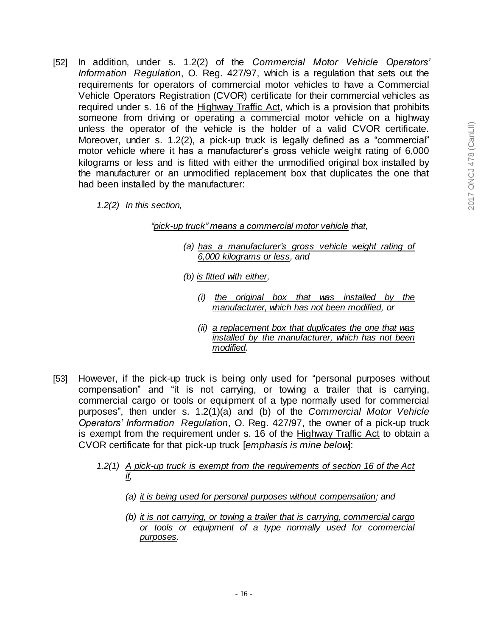[52] In addition, under s. 1.2(2) of the *Commercial Motor Vehicle Operators' Information Regulation*, O. Reg. 427/97, which is a regulation that sets out the requirements for operators of commercial motor vehicles to have a Commercial Vehicle Operators Registration (CVOR) certificate for their commercial vehicles as required under s. 16 of the Highway Traffic Act, which is a provision that prohibits someone from driving or operating a commercial motor vehicle on a highway unless the operator of the vehicle is the holder of a valid CVOR certificate. Moreover, under s. 1.2(2), a pick-up truck is legally defined as a "commercial" motor vehicle where it has a manufacturer's gross vehicle weight rating of 6,000 kilograms or less and is fitted with either the unmodified original box installed by the manufacturer or an unmodified replacement box that duplicates the one that had been installed by the manufacturer:

*1.2(2) In this section,*

*"pick-up truck" means a commercial motor vehicle that,*

- *(a) has a manufacturer's gross vehicle weight rating of 6,000 kilograms or less, and*
- *(b) is fitted with either,*
	- *(i) the original box that was installed by the manufacturer, which has not been modified, or*
	- *(ii) a replacement box that duplicates the one that was installed by the manufacturer, which has not been modified.*
- [53] However, if the pick-up truck is being only used for "personal purposes without compensation" and "it is not carrying, or towing a trailer that is carrying, commercial cargo or tools or equipment of a type normally used for commercial purposes", then under s. 1.2(1)(a) and (b) of the *Commercial Motor Vehicle Operators' Information Regulation*, O. Reg. 427/97, the owner of a pick-up truck is exempt from the requirement under s. 16 of the Highway Traffic Act to obtain a CVOR certificate for that pick-up truck [*emphasis is mine below*]:
	- *1.2(1) A pick-up truck is exempt from the requirements of section 16 of the Act if,*
		- *(a) it is being used for personal purposes without compensation; and*
		- *(b) it is not carrying, or towing a trailer that is carrying, commercial cargo or tools or equipment of a type normally used for commercial purposes.*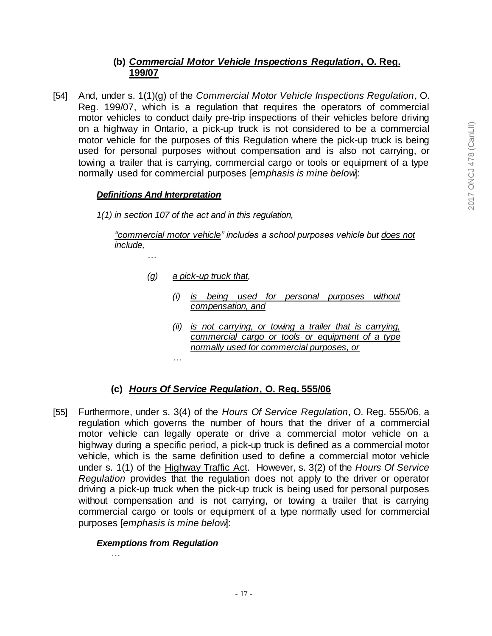# **(b)** *Commercial Motor Vehicle Inspections Regulation***, O. Reg. 199/07**

[54] And, under s. 1(1)(g) of the *Commercial Motor Vehicle Inspections Regulation*, O. Reg. 199/07, which is a regulation that requires the operators of commercial motor vehicles to conduct daily pre-trip inspections of their vehicles before driving on a highway in Ontario, a pick-up truck is not considered to be a commercial motor vehicle for the purposes of this Regulation where the pick-up truck is being used for personal purposes without compensation and is also not carrying, or towing a trailer that is carrying, commercial cargo or tools or equipment of a type normally used for commercial purposes [*emphasis is mine below*]:

# *Definitions And Interpretation*

*…*

*1(1) in section 107 of the act and in this regulation,*

*"commercial motor vehicle" includes a school purposes vehicle but does not include,*

- *(g) a pick-up truck that,*
	- *(i) is being used for personal purposes without compensation, and*
	- *(ii) is not carrying, or towing a trailer that is carrying, commercial cargo or tools or equipment of a type normally used for commercial purposes, or*

*…*

# **(c)** *Hours Of Service Regulation***, O. Reg. 555/06**

[55] Furthermore, under s. 3(4) of the *Hours Of Service Regulation*, O. Reg. 555/06, a regulation which governs the number of hours that the driver of a commercial motor vehicle can legally operate or drive a commercial motor vehicle on a highway during a specific period, a pick-up truck is defined as a commercial motor vehicle, which is the same definition used to define a commercial motor vehicle under s. 1(1) of the Highway Traffic Act. However, s. 3(2) of the *Hours Of Service Regulation* provides that the regulation does not apply to the driver or operator driving a pick-up truck when the pick-up truck is being used for personal purposes without compensation and is not carrying, or towing a trailer that is carrying commercial cargo or tools or equipment of a type normally used for commercial purposes [*emphasis is mine below*]:

# *Exemptions from Regulation*

*…*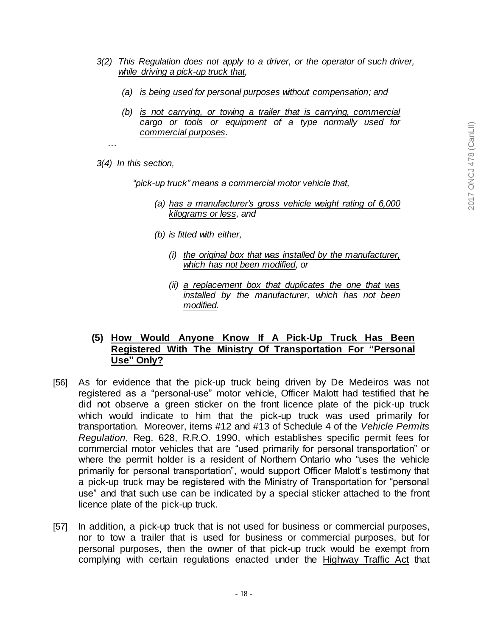- *3(2) This Regulation does not apply to a driver, or the operator of such driver, while driving a pick-up truck that,*
	- *(a) is being used for personal purposes without compensation; and*
	- *(b) is not carrying, or towing a trailer that is carrying, commercial cargo or tools or equipment of a type normally used for commercial purposes.*

*3(4) In this section,*

*…*

*"pick-up truck" means a commercial motor vehicle that,*

- *(a) has a manufacturer's gross vehicle weight rating of 6,000 kilograms or less, and*
- *(b) is fitted with either,*
	- *(i) the original box that was installed by the manufacturer, which has not been modified, or*
	- *(ii) a replacement box that duplicates the one that was installed by the manufacturer, which has not been modified.*

## **(5) How Would Anyone Know If A Pick-Up Truck Has Been Registered With The Ministry Of Transportation For "Personal Use" Only?**

- [56] As for evidence that the pick-up truck being driven by De Medeiros was not registered as a "personal-use" motor vehicle, Officer Malott had testified that he did not observe a green sticker on the front licence plate of the pick-up truck which would indicate to him that the pick-up truck was used primarily for transportation. Moreover, items #12 and #13 of Schedule 4 of the *Vehicle Permits Regulation*, Reg. 628, R.R.O. 1990, which establishes specific permit fees for commercial motor vehicles that are "used primarily for personal transportation" or where the permit holder is a resident of Northern Ontario who "uses the vehicle primarily for personal transportation", would support Officer Malott's testimony that a pick-up truck may be registered with the Ministry of Transportation for "personal use" and that such use can be indicated by a special sticker attached to the front licence plate of the pick-up truck.
- [57] In addition, a pick-up truck that is not used for business or commercial purposes, nor to tow a trailer that is used for business or commercial purposes, but for personal purposes, then the owner of that pick-up truck would be exempt from complying with certain regulations enacted under the Highway Traffic Act that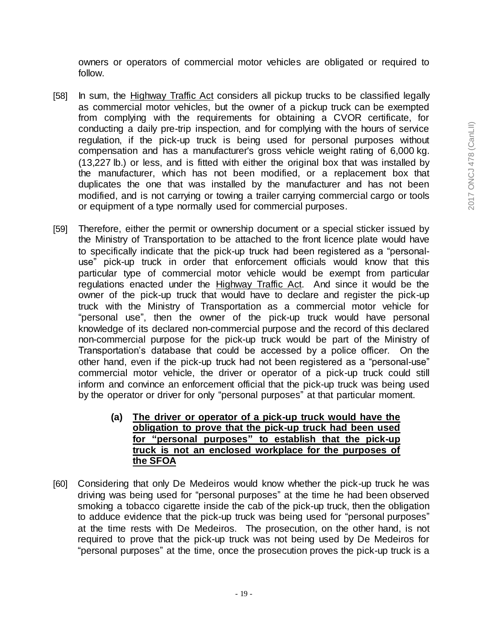owners or operators of commercial motor vehicles are obligated or required to follow.

- [58] In sum, the Highway Traffic Act considers all pickup trucks to be classified legally as commercial motor vehicles, but the owner of a pickup truck can be exempted from complying with the requirements for obtaining a CVOR certificate, for conducting a daily pre-trip inspection, and for complying with the hours of service regulation, if the pick-up truck is being used for personal purposes without compensation and has a manufacturer's gross vehicle weight rating of 6,000 kg. (13,227 lb.) or less, and is fitted with either the original box that was installed by the manufacturer, which has not been modified, or a replacement box that duplicates the one that was installed by the manufacturer and has not been modified, and is not carrying or towing a trailer carrying commercial cargo or tools or equipment of a type normally used for commercial purposes.
- [59] Therefore, either the permit or ownership document or a special sticker issued by the Ministry of Transportation to be attached to the front licence plate would have to specifically indicate that the pick-up truck had been registered as a "personaluse" pick-up truck in order that enforcement officials would know that this particular type of commercial motor vehicle would be exempt from particular regulations enacted under the Highway Traffic Act. And since it would be the owner of the pick-up truck that would have to declare and register the pick-up truck with the Ministry of Transportation as a commercial motor vehicle for "personal use", then the owner of the pick-up truck would have personal knowledge of its declared non-commercial purpose and the record of this declared non-commercial purpose for the pick-up truck would be part of the Ministry of Transportation's database that could be accessed by a police officer. On the other hand, even if the pick-up truck had not been registered as a "personal-use" commercial motor vehicle, the driver or operator of a pick-up truck could still inform and convince an enforcement official that the pick-up truck was being used by the operator or driver for only "personal purposes" at that particular moment.
	- **(a) The driver or operator of a pick-up truck would have the obligation to prove that the pick-up truck had been used for "personal purposes" to establish that the pick-up truck is not an enclosed workplace for the purposes of the SFOA**
- [60] Considering that only De Medeiros would know whether the pick-up truck he was driving was being used for "personal purposes" at the time he had been observed smoking a tobacco cigarette inside the cab of the pick-up truck, then the obligation to adduce evidence that the pick-up truck was being used for "personal purposes" at the time rests with De Medeiros. The prosecution, on the other hand, is not required to prove that the pick-up truck was not being used by De Medeiros for "personal purposes" at the time, once the prosecution proves the pick-up truck is a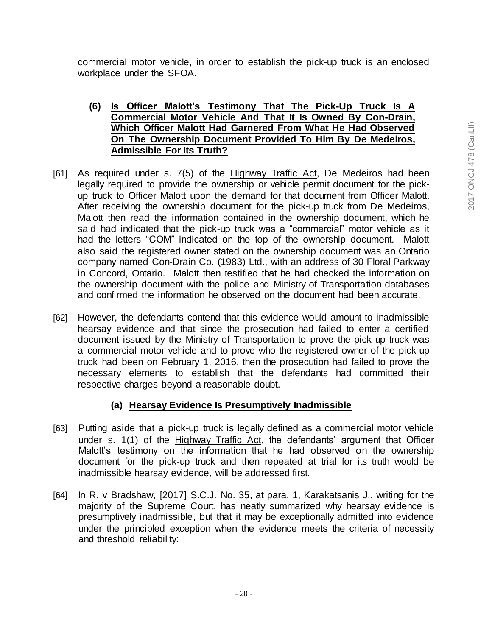commercial motor vehicle, in order to establish the pick-up truck is an enclosed workplace under the SFOA.

# **(6) Is Officer Malott's Testimony That The Pick-Up Truck Is A Commercial Motor Vehicle And That It Is Owned By Con-Drain, Which Officer Malott Had Garnered From What He Had Observed On The Ownership Document Provided To Him By De Medeiros, Admissible For Its Truth?**

- [61] As required under s. 7(5) of the Highway Traffic Act, De Medeiros had been legally required to provide the ownership or vehicle permit document for the pickup truck to Officer Malott upon the demand for that document from Officer Malott. After receiving the ownership document for the pick-up truck from De Medeiros, Malott then read the information contained in the ownership document, which he said had indicated that the pick-up truck was a "commercial" motor vehicle as it had the letters "COM" indicated on the top of the ownership document. Malott also said the registered owner stated on the ownership document was an Ontario company named Con-Drain Co. (1983) Ltd., with an address of 30 Floral Parkway in Concord, Ontario. Malott then testified that he had checked the information on the ownership document with the police and Ministry of Transportation databases and confirmed the information he observed on the document had been accurate.
- [62] However, the defendants contend that this evidence would amount to inadmissible hearsay evidence and that since the prosecution had failed to enter a certified document issued by the Ministry of Transportation to prove the pick-up truck was a commercial motor vehicle and to prove who the registered owner of the pick-up truck had been on February 1, 2016, then the prosecution had failed to prove the necessary elements to establish that the defendants had committed their respective charges beyond a reasonable doubt.

# **(a) Hearsay Evidence Is Presumptively Inadmissible**

- [63] Putting aside that a pick-up truck is legally defined as a commercial motor vehicle under s. 1(1) of the Highway Traffic Act, the defendants' argument that Officer Malott's testimony on the information that he had observed on the ownership document for the pick-up truck and then repeated at trial for its truth would be inadmissible hearsay evidence, will be addressed first.
- [64] In R. v Bradshaw, [2017] S.C.J. No. 35, at para. 1, Karakatsanis J., writing for the majority of the Supreme Court, has neatly summarized why hearsay evidence is presumptively inadmissible, but that it may be exceptionally admitted into evidence under the principled exception when the evidence meets the criteria of necessity and threshold reliability: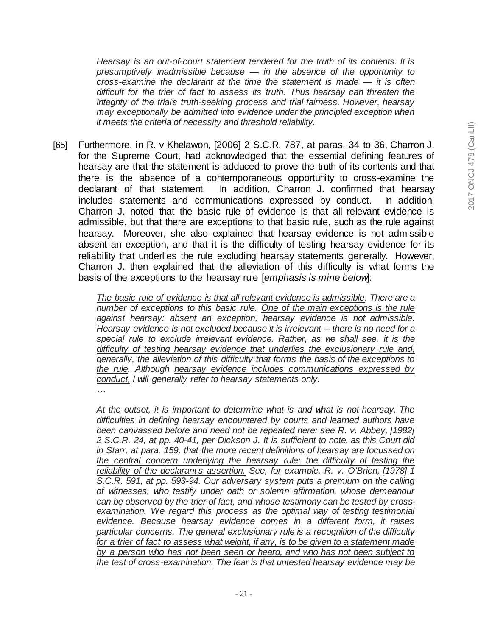*Hearsay is an out-of-court statement tendered for the truth of its contents. It is presumptively inadmissible because — in the absence of the opportunity to cross-examine the declarant at the time the statement is made — it is often difficult for the trier of fact to assess its truth. Thus hearsay can threaten the integrity of the trial's truth-seeking process and trial fairness. However, hearsay may exceptionally be admitted into evidence under the principled exception when it meets the criteria of necessity and threshold reliability.*

[65] Furthermore, in R. v Khelawon, [2006] 2 S.C.R. 787, at paras. 34 to 36, Charron J. for the Supreme Court, had acknowledged that the essential defining features of hearsay are that the statement is adduced to prove the truth of its contents and that there is the absence of a contemporaneous opportunity to cross-examine the declarant of that statement. In addition, Charron J. confirmed that hearsay includes statements and communications expressed by conduct. In addition, Charron J. noted that the basic rule of evidence is that all relevant evidence is admissible, but that there are exceptions to that basic rule, such as the rule against hearsay. Moreover, she also explained that hearsay evidence is not admissible absent an exception, and that it is the difficulty of testing hearsay evidence for its reliability that underlies the rule excluding hearsay statements generally. However, Charron J. then explained that the alleviation of this difficulty is what forms the basis of the exceptions to the hearsay rule [*emphasis is mine below*]:

> *The basic rule of evidence is that all relevant evidence is admissible. There are a number of exceptions to this basic rule. One of the main exceptions is the rule against hearsay: absent an exception, hearsay evidence is not admissible. Hearsay evidence is not excluded because it is irrelevant -- there is no need for a special rule to exclude irrelevant evidence. Rather, as we shall see, it is the difficulty of testing hearsay evidence that underlies the exclusionary rule and, generally, the alleviation of this difficulty that forms the basis of the exceptions to the rule. Although hearsay evidence includes communications expressed by conduct, I will generally refer to hearsay statements only.*

*…*

*At the outset, it is important to determine what is and what is not hearsay. The difficulties in defining hearsay encountered by courts and learned authors have been canvassed before and need not be repeated here: see R. v. Abbey, [1982] 2 S.C.R. 24, at pp. 40-41, per Dickson J. It is sufficient to note, as this Court did in Starr, at para. 159, that the more recent definitions of hearsay are focussed on the central concern underlying the hearsay rule: the difficulty of testing the reliability of the declarant's assertion. See, for example, R. v. O'Brien, [1978] 1 S.C.R. 591, at pp. 593-94. Our adversary system puts a premium on the calling of witnesses, who testify under oath or solemn affirmation, whose demeanour can be observed by the trier of fact, and whose testimony can be tested by crossexamination. We regard this process as the optimal way of testing testimonial evidence. Because hearsay evidence comes in a different form, it raises particular concerns. The general exclusionary rule is a recognition of the difficulty for a trier of fact to assess what weight, if any, is to be given to a statement made by a person who has not been seen or heard, and who has not been subject to the test of cross-examination. The fear is that untested hearsay evidence may be*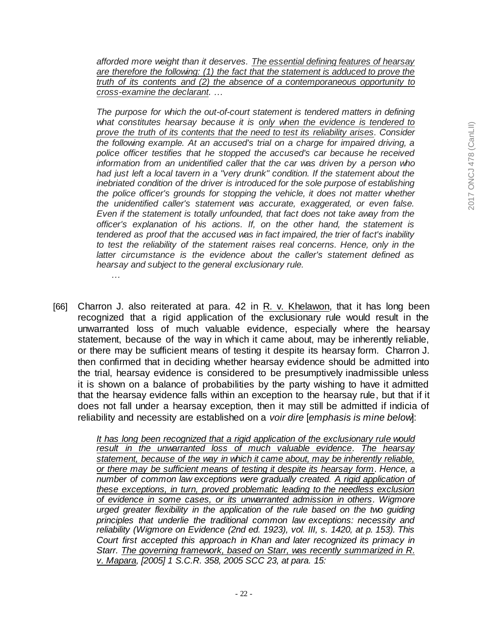*afforded more weight than it deserves. The essential defining features of hearsay are therefore the following: (1) the fact that the statement is adduced to prove the truth of its contents and (2) the absence of a contemporaneous opportunity to cross-examine the declarant. …* 

*The purpose for which the out-of-court statement is tendered matters in defining what constitutes hearsay because it is only when the evidence is tendered to prove the truth of its contents that the need to test its reliability arises. Consider the following example. At an accused's trial on a charge for impaired driving, a police officer testifies that he stopped the accused's car because he received information from an unidentified caller that the car was driven by a person who had just left a local tavern in a "very drunk" condition. If the statement about the inebriated condition of the driver is introduced for the sole purpose of establishing the police officer's grounds for stopping the vehicle, it does not matter whether the unidentified caller's statement was accurate, exaggerated, or even false. Even if the statement is totally unfounded, that fact does not take away from the officer's explanation of his actions. If, on the other hand, the statement is tendered as proof that the accused was in fact impaired, the trier of fact's inability*  to test the reliability of the statement raises real concerns. Hence, only in the *latter circumstance is the evidence about the caller's statement defined as hearsay and subject to the general exclusionary rule.*

[66] Charron J. also reiterated at para. 42 in R. v. Khelawon, that it has long been recognized that a rigid application of the exclusionary rule would result in the unwarranted loss of much valuable evidence, especially where the hearsay statement, because of the way in which it came about, may be inherently reliable, or there may be sufficient means of testing it despite its hearsay form. Charron J. then confirmed that in deciding whether hearsay evidence should be admitted into the trial, hearsay evidence is considered to be presumptively inadmissible unless it is shown on a balance of probabilities by the party wishing to have it admitted that the hearsay evidence falls within an exception to the hearsay rule, but that if it does not fall under a hearsay exception, then it may still be admitted if indicia of reliability and necessity are established on a *voir dire* [*emphasis is mine below*]:

*…*

*It has long been recognized that a rigid application of the exclusionary rule would result in the unwarranted loss of much valuable evidence. The hearsay statement, because of the way in which it came about, may be inherently reliable, or there may be sufficient means of testing it despite its hearsay form. Hence, a*  number of common law exceptions were gradually created. A rigid application of *these exceptions, in turn, proved problematic leading to the needless exclusion of evidence in some cases, or its unwarranted admission in others. Wigmore urged greater flexibility in the application of the rule based on the two guiding principles that underlie the traditional common law exceptions: necessity and reliability (Wigmore on Evidence (2nd ed. 1923), vol. III, s. 1420, at p. 153). This Court first accepted this approach in Khan and later recognized its primacy in Starr. The governing framework, based on Starr, was recently summarized in R. v. Mapara, [2005] 1 S.C.R. 358, 2005 SCC 23, at para. 15:*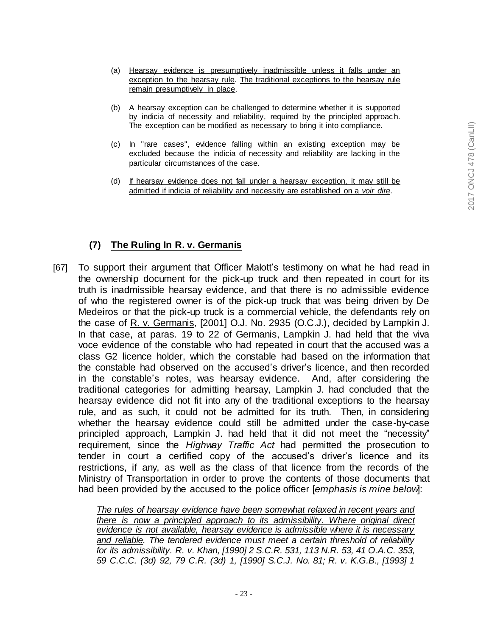- (a) Hearsay evidence is presumptively inadmissible unless it falls under an exception to the hearsay rule. The traditional exceptions to the hearsay rule remain presumptively in place.
- (b) A hearsay exception can be challenged to determine whether it is supported by indicia of necessity and reliability, required by the principled approach. The exception can be modified as necessary to bring it into compliance.
- (c) In "rare cases", evidence falling within an existing exception may be excluded because the indicia of necessity and reliability are lacking in the particular circumstances of the case.
- (d) If hearsay evidence does not fall under a hearsay exception, it may still be admitted if indicia of reliability and necessity are established on a *voir dire*.

# **(7) The Ruling In R. v. Germanis**

[67] To support their argument that Officer Malott's testimony on what he had read in the ownership document for the pick-up truck and then repeated in court for its truth is inadmissible hearsay evidence, and that there is no admissible evidence of who the registered owner is of the pick-up truck that was being driven by De Medeiros or that the pick-up truck is a commercial vehicle, the defendants rely on the case of R. v. Germanis, [2001] O.J. No. 2935 (O.C.J.), decided by Lampkin J. In that case, at paras. 19 to 22 of Germanis, Lampkin J. had held that the viva voce evidence of the constable who had repeated in court that the accused was a class G2 licence holder, which the constable had based on the information that the constable had observed on the accused's driver's licence, and then recorded in the constable's notes, was hearsay evidence. And, after considering the traditional categories for admitting hearsay, Lampkin J. had concluded that the hearsay evidence did not fit into any of the traditional exceptions to the hearsay rule, and as such, it could not be admitted for its truth. Then, in considering whether the hearsay evidence could still be admitted under the case-by-case principled approach, Lampkin J. had held that it did not meet the "necessity" requirement, since the *Highway Traffic Act* had permitted the prosecution to tender in court a certified copy of the accused's driver's licence and its restrictions, if any, as well as the class of that licence from the records of the Ministry of Transportation in order to prove the contents of those documents that had been provided by the accused to the police officer [*emphasis is mine below*]:

> *The rules of hearsay evidence have been somewhat relaxed in recent years and there is now a principled approach to its admissibility. Where original direct evidence is not available, hearsay evidence is admissible where it is necessary and reliable. The tendered evidence must meet a certain threshold of reliability for its admissibility. R. v. Khan, [1990] 2 S.C.R. 531, 113 N.R. 53, 41 O.A.C. 353, 59 C.C.C. (3d) 92, 79 C.R. (3d) 1, [1990] S.C.J. No. 81; R. v. K.G.B., [1993] 1*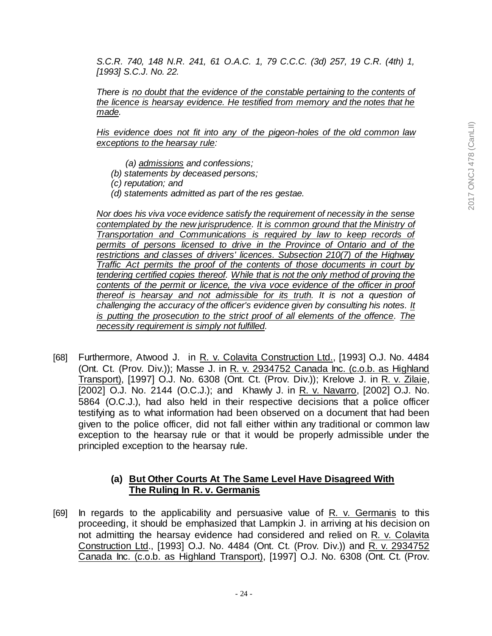*S.C.R. 740, 148 N.R. 241, 61 O.A.C. 1, 79 C.C.C. (3d) 257, 19 C.R. (4th) 1, [1993] S.C.J. No. 22.*

*There is no doubt that the evidence of the constable pertaining to the contents of the licence is hearsay evidence. He testified from memory and the notes that he made.*

*His evidence does not fit into any of the pigeon-holes of the old common law exceptions to the hearsay rule:*

*(a) admissions and confessions;*

- *(b) statements by deceased persons;*
- *(c) reputation; and*
- *(d) statements admitted as part of the res gestae.*

*Nor does his viva voce evidence satisfy the requirement of necessity in the sense contemplated by the new jurisprudence. It is common ground that the Ministry of Transportation and Communications is required by law to keep records of permits of persons licensed to drive in the Province of Ontario and of the restrictions and classes of drivers' licences. Subsection 210(7) of the Highway Traffic Act permits the proof of the contents of those documents in court by tendering certified copies thereof. While that is not the only method of proving the contents of the permit or licence, the viva voce evidence of the officer in proof thereof is hearsay and not admissible for its truth. It is not a question of challenging the accuracy of the officer's evidence given by consulting his notes. It is putting the prosecution to the strict proof of all elements of the offence. The necessity requirement is simply not fulfilled.*

[68] Furthermore, Atwood J. in R. v. Colavita Construction Ltd., [1993] O.J. No. 4484 (Ont. Ct. (Prov. Div.)); Masse J. in R. v. 2934752 Canada Inc. (c.o.b. as Highland Transport), [1997] O.J. No. 6308 (Ont. Ct. (Prov. Div.)); Krelove J. in R. v. Zilaie, [2002] O.J. No. 2144 (O.C.J.); and Khawly J. in R. v. Navarro, [2002] O.J. No. 5864 (O.C.J.), had also held in their respective decisions that a police officer testifying as to what information had been observed on a document that had been given to the police officer, did not fall either within any traditional or common law exception to the hearsay rule or that it would be properly admissible under the principled exception to the hearsay rule.

# **(a) But Other Courts At The Same Level Have Disagreed With The Ruling In R. v. Germanis**

[69] In regards to the applicability and persuasive value of R. v. Germanis to this proceeding, it should be emphasized that Lampkin J. in arriving at his decision on not admitting the hearsay evidence had considered and relied on R. v. Colavita Construction Ltd., [1993] O.J. No. 4484 (Ont. Ct. (Prov. Div.)) and R. v. 2934752 Canada Inc. (c.o.b. as Highland Transport), [1997] O.J. No. 6308 (Ont. Ct. (Prov.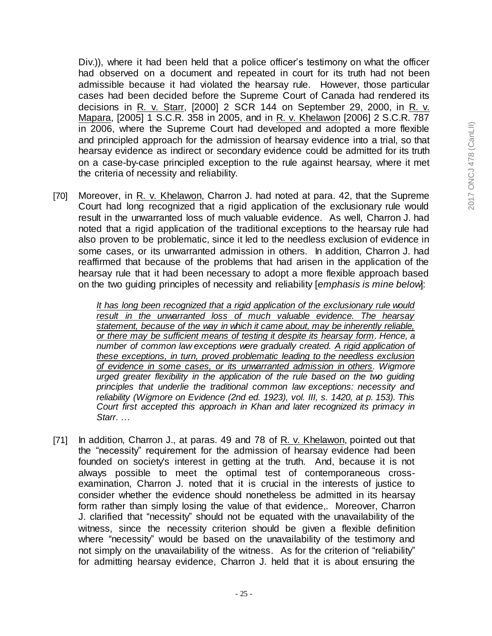Div.)), where it had been held that a police officer's testimony on what the officer had observed on a document and repeated in court for its truth had not been admissible because it had violated the hearsay rule. However, those particular cases had been decided before the Supreme Court of Canada had rendered its decisions in R. v. Starr, [2000] 2 SCR 144 on September 29, 2000, in R. v. Mapara, [2005] 1 S.C.R. 358 in 2005, and in R. v. Khelawon [2006] 2 S.C.R. 787 in 2006, where the Supreme Court had developed and adopted a more flexible and principled approach for the admission of hearsay evidence into a trial, so that hearsay evidence as indirect or secondary evidence could be admitted for its truth on a case-by-case principled exception to the rule against hearsay, where it met the criteria of necessity and reliability.

[70] Moreover, in R. v. Khelawon, Charron J. had noted at para. 42, that the Supreme Court had long recognized that a rigid application of the exclusionary rule would result in the unwarranted loss of much valuable evidence. As well, Charron J. had noted that a rigid application of the traditional exceptions to the hearsay rule had also proven to be problematic, since it led to the needless exclusion of evidence in some cases, or its unwarranted admission in others. In addition, Charron J. had reaffirmed that because of the problems that had arisen in the application of the hearsay rule that it had been necessary to adopt a more flexible approach based on the two guiding principles of necessity and reliability [*emphasis is mine below*]:

> *It has long been recognized that a rigid application of the exclusionary rule would result in the unwarranted loss of much valuable evidence. The hearsay statement, because of the way in which it came about, may be inherently reliable, or there may be sufficient means of testing it despite its hearsay form. Hence, a*  number of common law exceptions were gradually created. A rigid application of *these exceptions, in turn, proved problematic leading to the needless exclusion of evidence in some cases, or its unwarranted admission in others. Wigmore urged greater flexibility in the application of the rule based on the two guiding principles that underlie the traditional common law exceptions: necessity and reliability (Wigmore on Evidence (2nd ed. 1923), vol. III, s. 1420, at p. 153). This Court first accepted this approach in Khan and later recognized its primacy in Starr. …*

[71] In addition, Charron J., at paras. 49 and 78 of R. v. Khelawon, pointed out that the "necessity" requirement for the admission of hearsay evidence had been founded on society's interest in getting at the truth. And, because it is not always possible to meet the optimal test of contemporaneous crossexamination, Charron J. noted that it is crucial in the interests of justice to consider whether the evidence should nonetheless be admitted in its hearsay form rather than simply losing the value of that evidence,. Moreover, Charron J. clarified that "necessity" should not be equated with the unavailability of the witness, since the necessity criterion should be given a flexible definition where "necessity" would be based on the unavailability of the testimony and not simply on the unavailability of the witness. As for the criterion of "reliability" for admitting hearsay evidence, Charron J. held that it is about ensuring the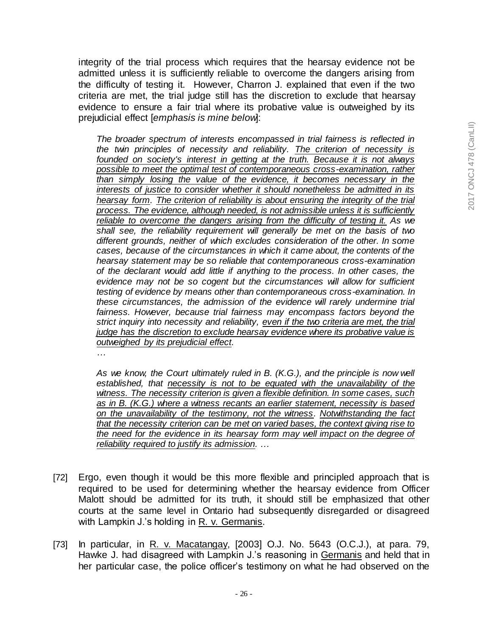integrity of the trial process which requires that the hearsay evidence not be admitted unless it is sufficiently reliable to overcome the dangers arising from the difficulty of testing it. However, Charron J. explained that even if the two criteria are met, the trial judge still has the discretion to exclude that hearsay evidence to ensure a fair trial where its probative value is outweighed by its prejudicial effect [*emphasis is mine below*]:

*The broader spectrum of interests encompassed in trial fairness is reflected in the twin principles of necessity and reliability. The criterion of necessity is founded on society's interest in getting at the truth. Because it is not always*  possible to meet the optimal test of contemporaneous cross-examination, rather *than simply losing the value of the evidence, it becomes necessary in the interests of justice to consider whether it should nonetheless be admitted in its hearsay form. The criterion of reliability is about ensuring the integrity of the trial process. The evidence, although needed, is not admissible unless it is sufficiently reliable to overcome the dangers arising from the difficulty of testing it. As we shall see, the reliability requirement will generally be met on the basis of two different grounds, neither of which excludes consideration of the other. In some cases, because of the circumstances in which it came about, the contents of the hearsay statement may be so reliable that contemporaneous cross-examination of the declarant would add little if anything to the process. In other cases, the evidence may not be so cogent but the circumstances will allow for sufficient testing of evidence by means other than contemporaneous cross-examination. In these circumstances, the admission of the evidence will rarely undermine trial fairness. However, because trial fairness may encompass factors beyond the strict inquiry into necessity and reliability, even if the two criteria are met, the trial judge has the discretion to exclude hearsay evidence where its probative value is outweighed by its prejudicial effect.*

*…*

*As we know, the Court ultimately ruled in B. (K.G.), and the principle is now well established, that necessity is not to be equated with the unavailability of the witness. The necessity criterion is given a flexible definition. In some cases, such as in B. (K.G.) where a witness recants an earlier statement, necessity is based on the unavailability of the testimony, not the witness. Notwithstanding the fact that the necessity criterion can be met on varied bases, the context giving rise to the need for the evidence in its hearsay form may well impact on the degree of reliability required to justify its admission. …* 

- [72] Ergo, even though it would be this more flexible and principled approach that is required to be used for determining whether the hearsay evidence from Officer Malott should be admitted for its truth, it should still be emphasized that other courts at the same level in Ontario had subsequently disregarded or disagreed with Lampkin J.'s holding in R. v. Germanis.
- [73] In particular, in R. v. Macatangay, [2003] O.J. No. 5643 (O.C.J.), at para. 79, Hawke J. had disagreed with Lampkin J.'s reasoning in Germanis and held that in her particular case, the police officer's testimony on what he had observed on the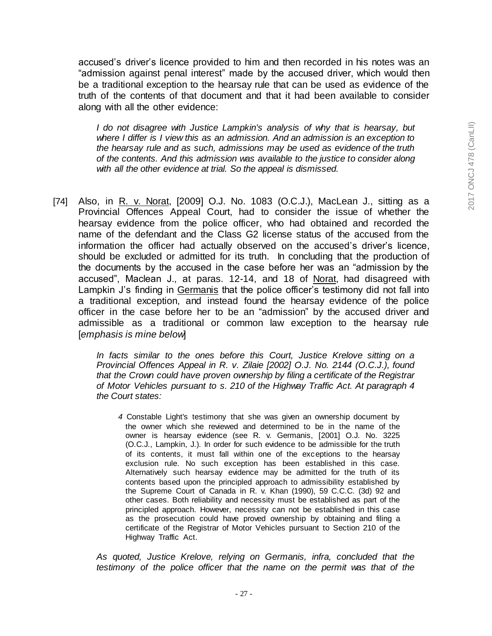accused's driver's licence provided to him and then recorded in his notes was an "admission against penal interest" made by the accused driver, which would then be a traditional exception to the hearsay rule that can be used as evidence of the truth of the contents of that document and that it had been available to consider along with all the other evidence:

*I do not disagree with Justice Lampkin's analysis of why that is hearsay, but where I differ is I view this as an admission. And an admission is an exception to the hearsay rule and as such, admissions may be used as evidence of the truth of the contents. And this admission was available to the justice to consider along with all the other evidence at trial. So the appeal is dismissed.*

[74] Also, in R. v. Norat, [2009] O.J. No. 1083 (O.C.J.), MacLean J., sitting as a Provincial Offences Appeal Court, had to consider the issue of whether the hearsay evidence from the police officer, who had obtained and recorded the name of the defendant and the Class G2 license status of the accused from the information the officer had actually observed on the accused's driver's licence, should be excluded or admitted for its truth. In concluding that the production of the documents by the accused in the case before her was an "admission by the accused", Maclean J., at paras. 12-14, and 18 of Norat, had disagreed with Lampkin J's finding in Germanis that the police officer's testimony did not fall into a traditional exception, and instead found the hearsay evidence of the police officer in the case before her to be an "admission" by the accused driver and admissible as a traditional or common law exception to the hearsay rule [*emphasis is mine below*]

> In facts similar to the ones before this Court, Justice Krelove sitting on a *Provincial Offences Appeal in R. v. Zilaie [2002] O.J. No. 2144 (O.C.J.), found that the Crown could have proven ownership by filing a certificate of the Registrar of Motor Vehicles pursuant to s. 210 of the Highway Traffic Act. At paragraph 4 the Court states:*

*4* Constable Light's testimony that she was given an ownership document by the owner which she reviewed and determined to be in the name of the owner is hearsay evidence (see R. v. Germanis, [2001] O.J. No. 3225 (O.C.J., Lampkin, J.). In order for such evidence to be admissible for the truth of its contents, it must fall within one of the exceptions to the hearsay exclusion rule. No such exception has been established in this case. Alternatively such hearsay evidence may be admitted for the truth of its contents based upon the principled approach to admissibility established by the Supreme Court of Canada in R. v. Khan (1990), 59 C.C.C. (3d) 92 and other cases. Both reliability and necessity must be established as part of the principled approach. However, necessity can not be established in this case as the prosecution could have proved ownership by obtaining and filing a certificate of the Registrar of Motor Vehicles pursuant to Section 210 of the Highway Traffic Act.

*As quoted, Justice Krelove, relying on Germanis, infra, concluded that the testimony of the police officer that the name on the permit was that of the*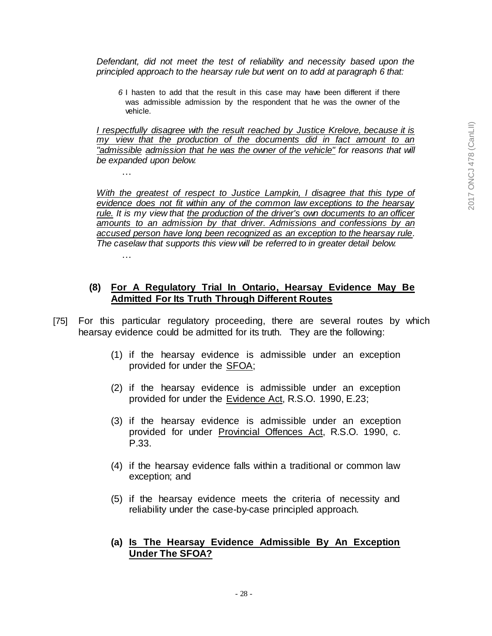*Defendant, did not meet the test of reliability and necessity based upon the principled approach to the hearsay rule but went on to add at paragraph 6 that:*

*6* I hasten to add that the result in this case may have been different if there was admissible admission by the respondent that he was the owner of the vehicle.

*I respectfully disagree with the result reached by Justice Krelove, because it is my view that the production of the documents did in fact amount to an "admissible admission that he was the owner of the vehicle" for reasons that will be expanded upon below.*

…

*With the greatest of respect to Justice Lampkin, I disagree that this type of evidence does not fit within any of the common law exceptions to the hearsay rule. It is my view that the production of the driver's own documents to an officer amounts to an admission by that driver. Admissions and confessions by an accused person have long been recognized as an exception to the hearsay rule. The caselaw that supports this view will be referred to in greater detail below.* …

# **(8) For A Regulatory Trial In Ontario, Hearsay Evidence May Be Admitted For Its Truth Through Different Routes**

- [75] For this particular regulatory proceeding, there are several routes by which hearsay evidence could be admitted for its truth. They are the following:
	- (1) if the hearsay evidence is admissible under an exception provided for under the SFOA;
	- (2) if the hearsay evidence is admissible under an exception provided for under the Evidence Act, R.S.O. 1990, E.23;
	- (3) if the hearsay evidence is admissible under an exception provided for under Provincial Offences Act, R.S.O. 1990, c. P.33.
	- (4) if the hearsay evidence falls within a traditional or common law exception; and
	- (5) if the hearsay evidence meets the criteria of necessity and reliability under the case-by-case principled approach.
	- **(a) Is The Hearsay Evidence Admissible By An Exception Under The SFOA?**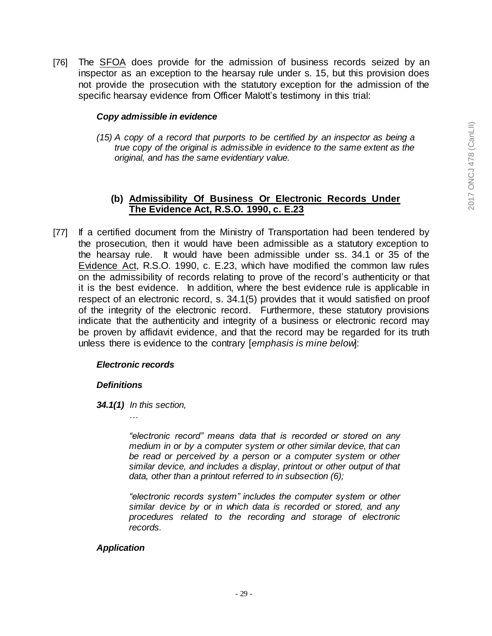[76] The SFOA does provide for the admission of business records seized by an inspector as an exception to the hearsay rule under s. 15, but this provision does not provide the prosecution with the statutory exception for the admission of the specific hearsay evidence from Officer Malott's testimony in this trial:

#### *Copy admissible in evidence*

*(15) A copy of a record that purports to be certified by an inspector as being a true copy of the original is admissible in evidence to the same extent as the original, and has the same evidentiary value.*

### **(b) Admissibility Of Business Or Electronic Records Under The Evidence Act, R.S.O. 1990, c. E.23**

[77] If a certified document from the Ministry of Transportation had been tendered by the prosecution, then it would have been admissible as a statutory exception to the hearsay rule. It would have been admissible under ss. 34.1 or 35 of the Evidence Act, R.S.O. 1990, c. E.23, which have modified the common law rules on the admissibility of records relating to prove of the record's authenticity or that it is the best evidence. In addition, where the best evidence rule is applicable in respect of an electronic record, s. 34.1(5) provides that it would satisfied on proof of the integrity of the electronic record. Furthermore, these statutory provisions indicate that the authenticity and integrity of a business or electronic record may be proven by affidavit evidence, and that the record may be regarded for its truth unless there is evidence to the contrary [*emphasis is mine below*]:

#### *Electronic records*

#### *Definitions*

*34.1(1) In this section,*

*…* 

*"electronic record" means data that is recorded or stored on any medium in or by a computer system or other similar device, that can be read or perceived by a person or a computer system or other similar device, and includes a display, printout or other output of that data, other than a printout referred to in subsection (6);*

*"electronic records system" includes the computer system or other similar device by or in which data is recorded or stored, and any procedures related to the recording and storage of electronic records.*

#### *Application*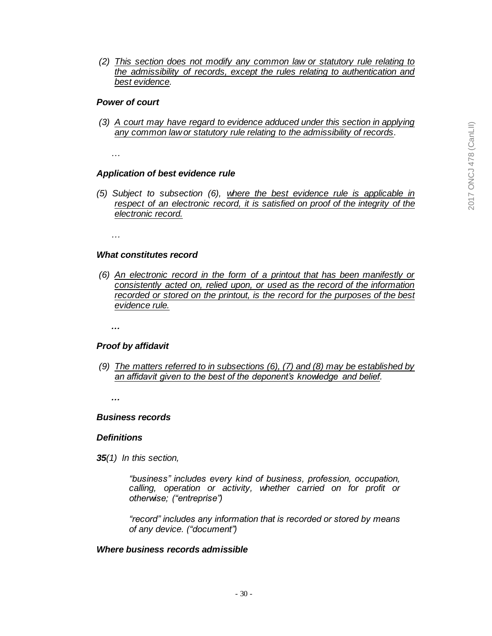*(2) This section does not modify any common law or statutory rule relating to the admissibility of records, except the rules relating to authentication and best evidence.*

#### *Power of court*

*(3) A court may have regard to evidence adduced under this section in applying any common law or statutory rule relating to the admissibility of records.*

*…*

#### *Application of best evidence rule*

*(5) Subject to subsection (6), where the best evidence rule is applicable in*  respect of an electronic record, it is satisfied on proof of the integrity of the *electronic record.*

*…*

#### *What constitutes record*

*(6) An electronic record in the form of a printout that has been manifestly or consistently acted on, relied upon, or used as the record of the information recorded or stored on the printout, is the record for the purposes of the best evidence rule.*

*…*

#### *Proof by affidavit*

*(9) The matters referred to in subsections (6), (7) and (8) may be established by an affidavit given to the best of the deponent's knowledge and belief.*

*…*

#### *Business records*

#### *Definitions*

*35(1) In this section,*

*"business" includes every kind of business, profession, occupation, calling, operation or activity, whether carried on for profit or otherwise; ("entreprise")*

*"record" includes any information that is recorded or stored by means of any device. ("document")*

#### *Where business records admissible*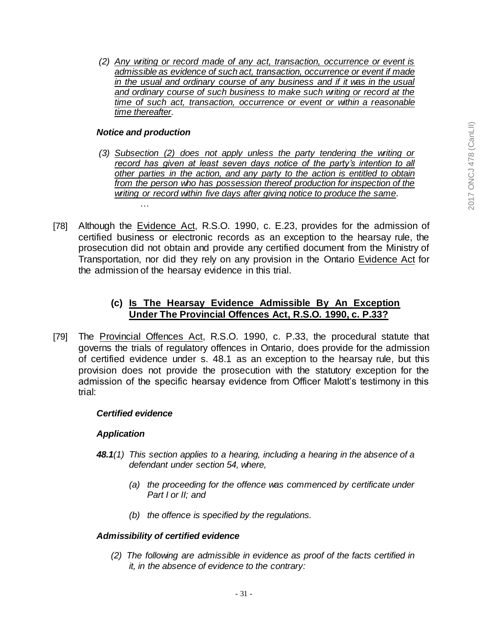*(2) Any writing or record made of any act, transaction, occurrence or event is admissible as evidence of such act, transaction, occurrence or event if made in the usual and ordinary course of any business and if it was in the usual and ordinary course of such business to make such writing or record at the time of such act, transaction, occurrence or event or within a reasonable time thereafter.* 

### *Notice and production*

- *(3) Subsection (2) does not apply unless the party tendering the writing or record has given at least seven days notice of the party's intention to all other parties in the action, and any party to the action is entitled to obtain from the person who has possession thereof production for inspection of the writing or record within five days after giving notice to produce the same. …*
- [78] Although the Evidence Act, R.S.O. 1990, c. E.23, provides for the admission of certified business or electronic records as an exception to the hearsay rule, the prosecution did not obtain and provide any certified document from the Ministry of Transportation, nor did they rely on any provision in the Ontario Evidence Act for the admission of the hearsay evidence in this trial.

## **(c) Is The Hearsay Evidence Admissible By An Exception Under The Provincial Offences Act, R.S.O. 1990, c. P.33?**

[79] The Provincial Offences Act, R.S.O. 1990, c. P.33, the procedural statute that governs the trials of regulatory offences in Ontario, does provide for the admission of certified evidence under s. 48.1 as an exception to the hearsay rule, but this provision does not provide the prosecution with the statutory exception for the admission of the specific hearsay evidence from Officer Malott's testimony in this trial:

### *Certified evidence*

### *Application*

- *48.1(1) This section applies to a hearing, including a hearing in the absence of a defendant under section 54, where,*
	- *(a) the proceeding for the offence was commenced by certificate under Part I or II; and*
	- *(b) the offence is specified by the regulations.*

#### *Admissibility of certified evidence*

 *(2) The following are admissible in evidence as proof of the facts certified in it, in the absence of evidence to the contrary:*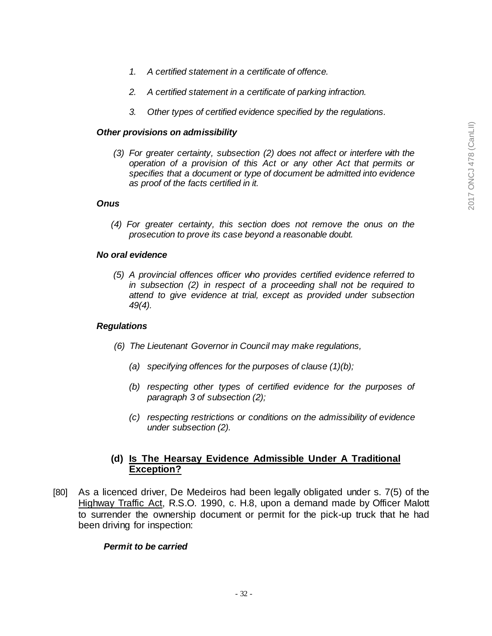- *1. A certified statement in a certificate of offence.*
- *2. A certified statement in a certificate of parking infraction.*
- *3. Other types of certified evidence specified by the regulations.*

#### *Other provisions on admissibility*

 *(3) For greater certainty, subsection (2) does not affect or interfere with the operation of a provision of this Act or any other Act that permits or specifies that a document or type of document be admitted into evidence as proof of the facts certified in it.*

#### *Onus*

 *(4) For greater certainty, this section does not remove the onus on the prosecution to prove its case beyond a reasonable doubt.*

#### *No oral evidence*

 *(5) A provincial offences officer who provides certified evidence referred to in subsection (2) in respect of a proceeding shall not be required to attend to give evidence at trial, except as provided under subsection 49(4).* 

#### *Regulations*

- *(6) The Lieutenant Governor in Council may make regulations,*
	- *(a) specifying offences for the purposes of clause (1)(b);*
	- *(b) respecting other types of certified evidence for the purposes of paragraph 3 of subsection (2);*
	- *(c) respecting restrictions or conditions on the admissibility of evidence under subsection (2).*

# **(d) Is The Hearsay Evidence Admissible Under A Traditional Exception?**

[80] As a licenced driver, De Medeiros had been legally obligated under s. 7(5) of the Highway Traffic Act, R.S.O. 1990, c. H.8, upon a demand made by Officer Malott to surrender the ownership document or permit for the pick-up truck that he had been driving for inspection:

### *Permit to be carried*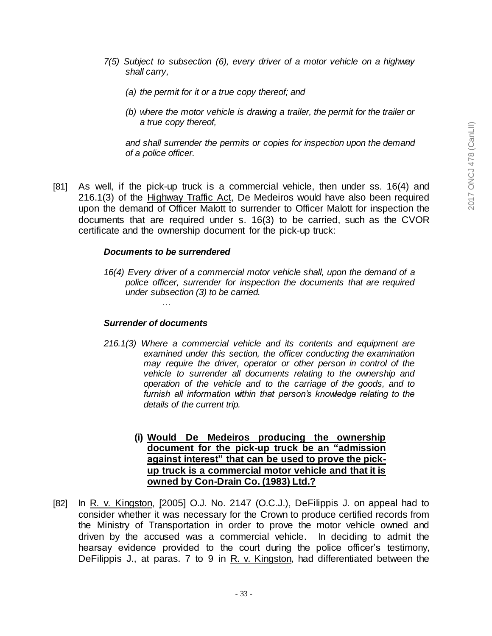- *7(5) Subject to subsection (6), every driver of a motor vehicle on a highway shall carry,*
	- *(a) the permit for it or a true copy thereof; and*
	- *(b) where the motor vehicle is drawing a trailer, the permit for the trailer or a true copy thereof,*

*and shall surrender the permits or copies for inspection upon the demand of a police officer.*

[81] As well, if the pick-up truck is a commercial vehicle, then under ss. 16(4) and 216.1(3) of the Highway Traffic Act, De Medeiros would have also been required upon the demand of Officer Malott to surrender to Officer Malott for inspection the documents that are required under s. 16(3) to be carried, such as the CVOR certificate and the ownership document for the pick-up truck:

#### *Documents to be surrendered*

*…*

*16(4) Every driver of a commercial motor vehicle shall, upon the demand of a police officer, surrender for inspection the documents that are required under subsection (3) to be carried.*

#### *Surrender of documents*

- *216.[1\(3\)](http://www.ontario.ca/fr/lois/loi/90h08#s216p1s3) Where a commercial vehicle and its contents and equipment are examined under this section, the officer conducting the examination may require the driver, operator or other person in control of the vehicle to surrender all documents relating to the ownership and operation of the vehicle and to the carriage of the goods, and to furnish all information within that person's knowledge relating to the details of the current trip.*
	- **(i) Would De Medeiros producing the ownership document for the pick-up truck be an "admission against interest" that can be used to prove the pickup truck is a commercial motor vehicle and that it is owned by Con-Drain Co. (1983) Ltd.?**
- [82] In R. v. Kingston, [2005] O.J. No. 2147 (O.C.J.), DeFilippis J. on appeal had to consider whether it was necessary for the Crown to produce certified records from the Ministry of Transportation in order to prove the motor vehicle owned and driven by the accused was a commercial vehicle. In deciding to admit the hearsay evidence provided to the court during the police officer's testimony, DeFilippis J., at paras. 7 to 9 in R. v. Kingston, had differentiated between the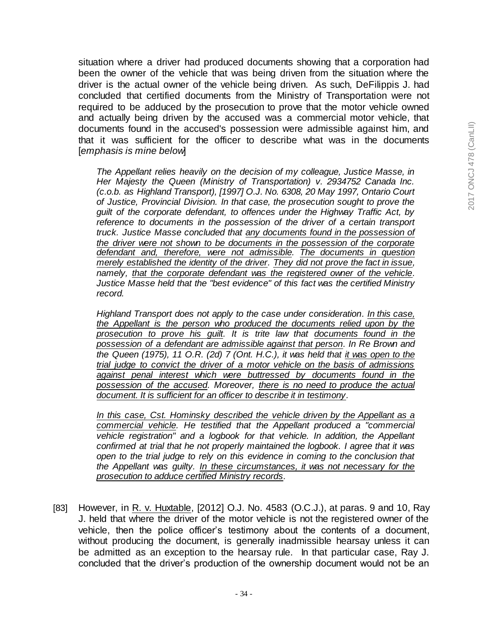situation where a driver had produced documents showing that a corporation had been the owner of the vehicle that was being driven from the situation where the driver is the actual owner of the vehicle being driven. As such, DeFilippis J. had concluded that certified documents from the Ministry of Transportation were not required to be adduced by the prosecution to prove that the motor vehicle owned and actually being driven by the accused was a commercial motor vehicle, that documents found in the accused's possession were admissible against him, and that it was sufficient for the officer to describe what was in the documents [*emphasis is mine below*]

*The Appellant relies heavily on the decision of my colleague, Justice Masse, in Her Majesty the Queen (Ministry of Transportation) v. 2934752 Canada Inc. (c.o.b. as Highland Transport), [1997] O.J. No. 6308, 20 May 1997, Ontario Court of Justice, Provincial Division. In that case, the prosecution sought to prove the guilt of the corporate defendant, to offences under the Highway Traffic Act, by reference to documents in the possession of the driver of a certain transport truck. Justice Masse concluded that any documents found in the possession of the driver were not shown to be documents in the possession of the corporate defendant and, therefore, were not admissible. The documents in question merely established the identity of the driver. They did not prove the fact in issue, namely, that the corporate defendant was the registered owner of the vehicle. Justice Masse held that the "best evidence" of this fact was the certified Ministry record.*

*Highland Transport does not apply to the case under consideration. In this case, the Appellant is the person who produced the documents relied upon by the prosecution to prove his guilt. It is trite law that documents found in the possession of a defendant are admissible against that person. In Re Brown and the Queen (1975), 11 O.R. (2d) 7 (Ont. H.C.), it was held that it was open to the trial judge to convict the driver of a motor vehicle on the basis of admissions against penal interest which were buttressed by documents found in the possession of the accused. Moreover, there is no need to produce the actual document. It is sufficient for an officer to describe it in testimony.*

*In this case, Cst. Hominsky described the vehicle driven by the Appellant as a commercial vehicle. He testified that the Appellant produced a "commercial vehicle registration" and a logbook for that vehicle. In addition, the Appellant confirmed at trial that he not properly maintained the logbook. I agree that it was open to the trial judge to rely on this evidence in coming to the conclusion that the Appellant was guilty. In these circumstances, it was not necessary for the prosecution to adduce certified Ministry records.*

[83] However, in R. v. Huxtable, [2012] O.J. No. 4583 (O.C.J.), at paras. 9 and 10, Ray J. held that where the driver of the motor vehicle is not the registered owner of the vehicle, then the police officer's testimony about the contents of a document, without producing the document, is generally inadmissible hearsay unless it can be admitted as an exception to the hearsay rule. In that particular case, Ray J. concluded that the driver's production of the ownership document would not be an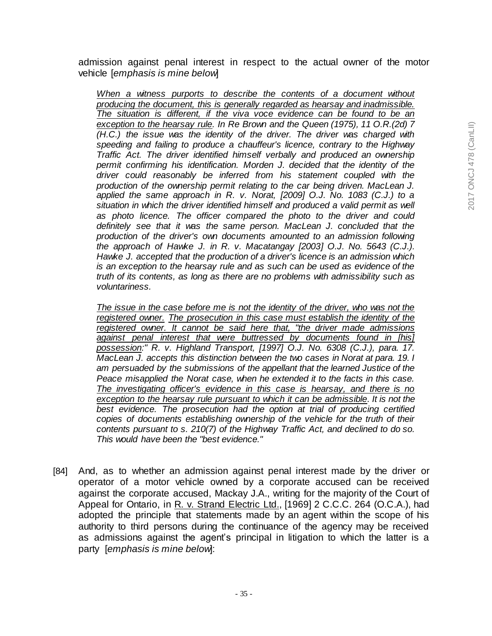admission against penal interest in respect to the actual owner of the motor vehicle [*emphasis is mine below*]

*When a witness purports to describe the contents of a document without producing the document, this is generally regarded as hearsay and inadmissible. The situation is different, if the viva voce evidence can be found to be an exception to the hearsay rule. In Re Brown and the Queen (1975), 11 O.R.(2d) 7 (H.C.) the issue was the identity of the driver. The driver was charged with speeding and failing to produce a chauffeur's licence, contrary to the Highway Traffic Act. The driver identified himself verbally and produced an ownership permit confirming his identification. Morden J. decided that the identity of the driver could reasonably be inferred from his statement coupled with the production of the ownership permit relating to the car being driven. MacLean J. applied the same approach in R. v. Norat, [2009] O.J. No. 1083 (C.J.) to a situation in which the driver identified himself and produced a valid permit as well as photo licence. The officer compared the photo to the driver and could definitely see that it was the same person. MacLean J. concluded that the production of the driver's own documents amounted to an admission following the approach of Hawke J. in R. v. Macatangay [2003] O.J. No. 5643 (C.J.). Hawke J. accepted that the production of a driver's licence is an admission which is an exception to the hearsay rule and as such can be used as evidence of the truth of its contents, as long as there are no problems with admissibility such as voluntariness.*

*The issue in the case before me is not the identity of the driver, who was not the registered owner. The prosecution in this case must establish the identity of the registered owner. It cannot be said here that, "the driver made admissions against penal interest that were buttressed by documents found in [his] possession:" R. v. Highland Transport, [1997] O.J. No. 6308 (C.J.), para. 17. MacLean J. accepts this distinction between the two cases in Norat at para. 19. I am persuaded by the submissions of the appellant that the learned Justice of the Peace misapplied the Norat case, when he extended it to the facts in this case. The investigating officer's evidence in this case is hearsay, and there is no exception to the hearsay rule pursuant to which it can be admissible. It is not the best evidence. The prosecution had the option at trial of producing certified copies of documents establishing ownership of the vehicle for the truth of their contents pursuant to s. 210(7) of the Highway Traffic Act, and declined to do so. This would have been the "best evidence."*

[84] And, as to whether an admission against penal interest made by the driver or operator of a motor vehicle owned by a corporate accused can be received against the corporate accused, Mackay J.A., writing for the majority of the Court of Appeal for Ontario, in R. v. Strand Electric Ltd., [1969] 2 C.C.C. 264 (O.C.A.), had adopted the principle that statements made by an agent within the scope of his authority to third persons during the continuance of the agency may be received as admissions against the agent's principal in litigation to which the latter is a party [*emphasis is mine below*]: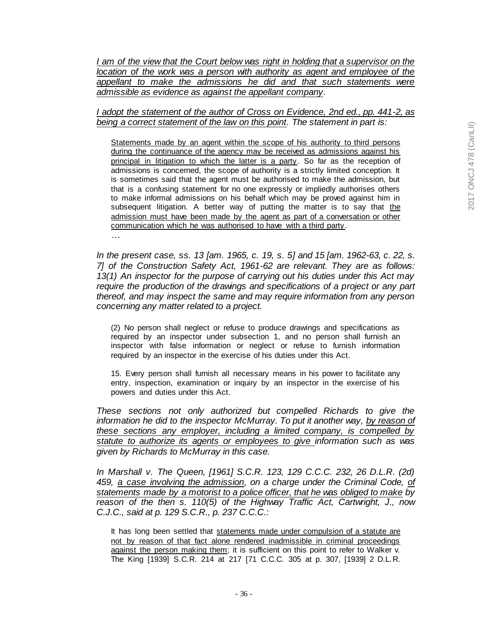*I* am of the view that the Court below was right in holding that a supervisor on the *location of the work was a person with authority as agent and employee of the appellant to make the admissions he did and that such statements were admissible as evidence as against the appellant company.*

*I adopt the statement of the author of Cross on Evidence, 2nd ed., pp. 441-2, as being a correct statement of the law on this point. The statement in part is:*

Statements made by an agent within the scope of his authority to third persons during the continuance of the agency may be received as admissions against his principal in litigation to which the latter is a party. So far as the reception of admissions is concerned, the scope of authority is a strictly limited conception. It is sometimes said that the agent must be authorised to make the admission, but that is a confusing statement for no one expressly or impliedly authorises others to make informal admissions on his behalf which may be proved against him in subsequent litigation. A better way of putting the matter is to say that the admission must have been made by the agent as part of a conversation or other communication which he was authorised to have with a third party. *…*

*In the present case, ss. 13 [am. 1965, c. 19, s. 5] and 15 [am. 1962-63, c. 22, s. 7] of the Construction Safety Act, 1961-62 are relevant. They are as follows: 13(1) An inspector for the purpose of carrying out his duties under this Act may require the production of the drawings and specifications of a project or any part thereof, and may inspect the same and may require information from any person concerning any matter related to a project.*

(2) No person shall neglect or refuse to produce drawings and specifications as required by an inspector under subsection 1, and no person shall furnish an inspector with false information or neglect or refuse to furnish information required by an inspector in the exercise of his duties under this Act.

15. Every person shall furnish all necessary means in his power to facilitate any entry, inspection, examination or inquiry by an inspector in the exercise of his powers and duties under this Act.

*These sections not only authorized but compelled Richards to give the information he did to the inspector McMurray. To put it another way, by reason of these sections any employer, including a limited company, is compelled by statute to authorize its agents or employees to give information such as was given by Richards to McMurray in this case.*

*In Marshall v. The Queen, [1961] S.C.R. 123, 129 C.C.C. 232, 26 D.L.R. (2d) 459, a case involving the admission, on a charge under the Criminal Code, of statements made by a motorist to a police officer, that he was obliged to make by reason of the then s. 110(5) of the Highway Traffic Act, Cartwright, J., now C.J.C., said at p. 129 S.C.R., p. 237 C.C.C.:*

It has long been settled that statements made under compulsion of a statute are not by reason of that fact alone rendered inadmissible in criminal proceedings against the person making them; it is sufficient on this point to refer to Walker v. The King [1939] S.C.R. 214 at 217 [71 C.C.C. 305 at p. 307, [1939] 2 D.L.R.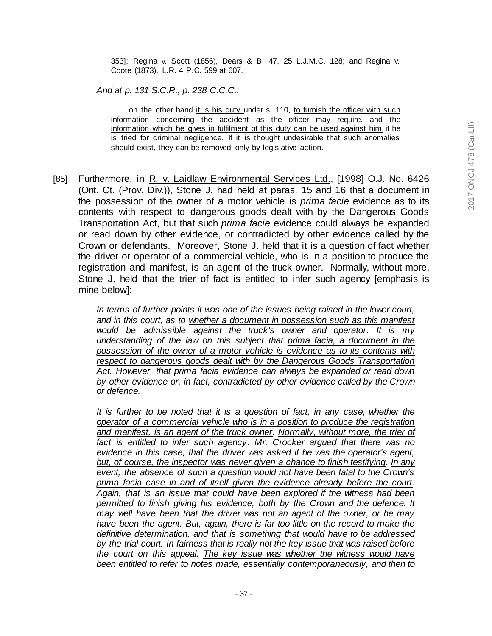353]; Regina v. Scott (1856), Dears & B. 47, 25 L.J.M.C. 128; and Regina v. Coote (1873), L.R. 4 P.C. 599 at 607.

*And at p. 131 S.C.R., p. 238 C.C.C.:*

. . . on the other hand it is his duty under s. 110, to furnish the officer with such information concerning the accident as the officer may require, and the information which he gives in fulfilment of this duty can be used against him if he is tried for criminal negligence. If it is thought undesirable that such anomalies should exist, they can be removed only by legislative action.

[85] Furthermore, in R. v. Laidlaw Environmental Services Ltd., [1998] O.J. No. 6426 (Ont. Ct. (Prov. Div.)), Stone J. had held at paras. 15 and 16 that a document in the possession of the owner of a motor vehicle is *prima facie* evidence as to its contents with respect to dangerous goods dealt with by the Dangerous Goods Transportation Act, but that such *prima facie* evidence could always be expanded or read down by other evidence, or contradicted by other evidence called by the Crown or defendants.Moreover, Stone J. held that it is a question of fact whether the driver or operator of a commercial vehicle, who is in a position to produce the registration and manifest, is an agent of the truck owner. Normally, without more, Stone J. held that the trier of fact is entitled to infer such agency [emphasis is mine below]:

> *In terms of further points it was one of the issues being raised in the lower court, and in this court, as to whether a document in possession such as this manifest would be admissible against the truck's owner and operator. It is my understanding of the law on this subject that prima facia, a document in the possession of the owner of a motor vehicle is evidence as to its contents with respect to dangerous goods dealt with by the Dangerous Goods Transportation Act. However, that prima facia evidence can always be expanded or read down by other evidence or, in fact, contradicted by other evidence called by the Crown or defence.*

> *It is further to be noted that it is a question of fact, in any case, whether the operator of a commercial vehicle who is in a position to produce the registration*  and manifest, is an agent of the truck owner. Normally, without more, the trier of fact is entitled to infer such agency. Mr. Crocker argued that there was no *evidence in this case, that the driver was asked if he was the operator's agent, but, of course, the inspector was never given a chance to finish testifying. In any event, the absence of such a question would not have been fatal to the Crown's prima facia case in and of itself given the evidence already before the court. Again, that is an issue that could have been explored if the witness had been permitted to finish giving his evidence, both by the Crown and the defence. It may well have been that the driver was not an agent of the owner, or he may have been the agent. But, again, there is far too little on the record to make the definitive determination, and that is something that would have to be addressed by the trial court. In fairness that is really not the key issue that was raised before the court on this appeal. The key issue was whether the witness would have been entitled to refer to notes made, essentially contemporaneously, and then to*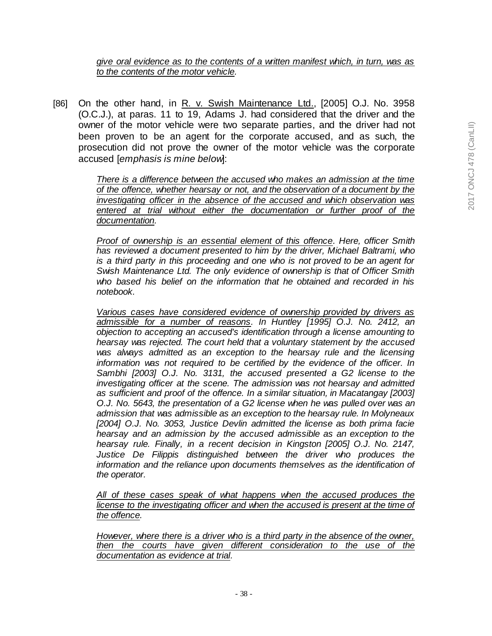[86] On the other hand, in R. v. Swish Maintenance Ltd., [2005] O.J. No. 3958 (O.C.J.), at paras. 11 to 19, Adams J. had considered that the driver and the owner of the motor vehicle were two separate parties, and the driver had not been proven to be an agent for the corporate accused, and as such, the prosecution did not prove the owner of the motor vehicle was the corporate accused [*emphasis is mine below*]:

> *There is a difference between the accused who makes an admission at the time of the offence, whether hearsay or not, and the observation of a document by the investigating officer in the absence of the accused and which observation was entered at trial without either the documentation or further proof of the documentation.*

> *Proof of ownership is an essential element of this offence. Here, officer Smith has reviewed a document presented to him by the driver, Michael Baltrami, who is a third party in this proceeding and one who is not proved to be an agent for Swish Maintenance Ltd. The only evidence of ownership is that of Officer Smith who based his belief on the information that he obtained and recorded in his notebook.*

> *Various cases have considered evidence of ownership provided by drivers as admissible for a number of reasons. In Huntley [1995] O.J. No. 2412, an objection to accepting an accused's identification through a license amounting to hearsay was rejected. The court held that a voluntary statement by the accused was always admitted as an exception to the hearsay rule and the licensing information was not required to be certified by the evidence of the officer. In Sambhi [2003] O.J. No. 3131, the accused presented a G2 license to the investigating officer at the scene. The admission was not hearsay and admitted as sufficient and proof of the offence. In a similar situation, in Macatangay [2003] O.J. No. 5643, the presentation of a G2 license when he was pulled over was an admission that was admissible as an exception to the hearsay rule. In Molyneaux [2004] O.J. No. 3053, Justice Devlin admitted the license as both prima facie hearsay and an admission by the accused admissible as an exception to the hearsay rule. Finally, in a recent decision in Kingston [2005] O.J. No. 2147, Justice De Filippis distinguished between the driver who produces the information and the reliance upon documents themselves as the identification of the operator.*

> *All of these cases speak of what happens when the accused produces the license to the investigating officer and when the accused is present at the time of the offence.*

> *However, where there is a driver who is a third party in the absence of the owner, then the courts have given different consideration to the use of the documentation as evidence at trial.*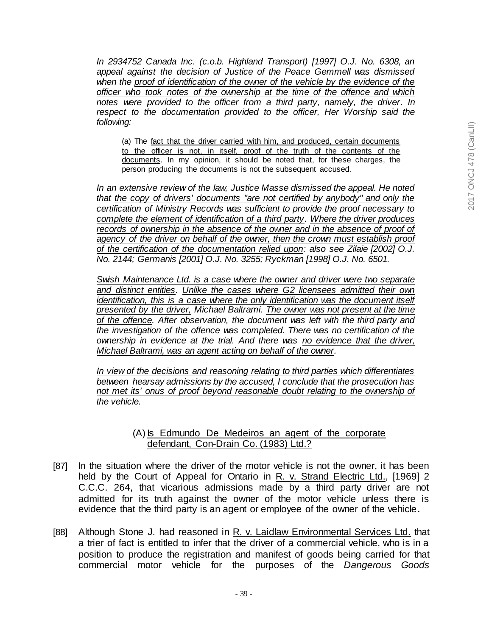*In 2934752 Canada Inc. (c.o.b. Highland Transport) [1997] O.J. No. 6308, an appeal against the decision of Justice of the Peace Gemmell was dismissed when the proof of identification of the owner of the vehicle by the evidence of the officer who took notes of the ownership at the time of the offence and which notes were provided to the officer from a third party, namely, the driver. In respect to the documentation provided to the officer, Her Worship said the following:*

(a) The fact that the driver carried with him, and produced, certain documents to the officer is not, in itself, proof of the truth of the contents of the documents. In my opinion, it should be noted that, for these charges, the person producing the documents is not the subsequent accused.

*In an extensive review of the law, Justice Masse dismissed the appeal. He noted that the copy of drivers' documents "are not certified by anybody" and only the certification of Ministry Records was sufficient to provide the proof necessary to complete the element of identification of a third party. Where the driver produces*  records of ownership in the absence of the owner and in the absence of proof of *agency of the driver on behalf of the owner, then the crown must establish proof of the certification of the documentation relied upon: also see Zilaie [2002] O.J. No. 2144; Germanis [2001] O.J. No. 3255; Ryckman [1998] O.J. No. 6501.*

*Swish Maintenance Ltd. is a case where the owner and driver were two separate and distinct entities. Unlike the cases where G2 licensees admitted their own identification, this is a case where the only identification was the document itself presented by the driver, Michael Baltrami. The owner was not present at the time of the offence. After observation, the document was left with the third party and the investigation of the offence was completed. There was no certification of the ownership in evidence at the trial. And there was no evidence that the driver, Michael Baltrami, was an agent acting on behalf of the owner.*

*In view of the decisions and reasoning relating to third parties which differentiates between hearsay admissions by the accused, I conclude that the prosecution has not met its' onus of proof beyond reasonable doubt relating to the ownership of the vehicle.*

### (A) Is Edmundo De Medeiros an agent of the corporate defendant, Con-Drain Co. (1983) Ltd.?

- [87] In the situation where the driver of the motor vehicle is not the owner, it has been held by the Court of Appeal for Ontario in R. v. Strand Electric Ltd., [1969] 2 C.C.C. 264, that vicarious admissions made by a third party driver are not admitted for its truth against the owner of the motor vehicle unless there is evidence that the third party is an agent or employee of the owner of the vehicle**.**
- [88] Although Stone J. had reasoned in R. v. Laidlaw Environmental Services Ltd. that a trier of fact is entitled to infer that the driver of a commercial vehicle, who is in a position to produce the registration and manifest of goods being carried for that commercial motor vehicle for the purposes of the *Dangerous Goods*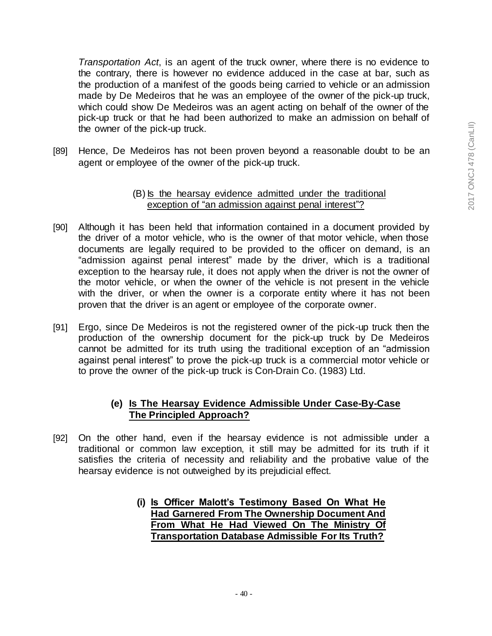*Transportation Act*, is an agent of the truck owner, where there is no evidence to the contrary, there is however no evidence adduced in the case at bar, such as the production of a manifest of the goods being carried to vehicle or an admission made by De Medeiros that he was an employee of the owner of the pick-up truck, which could show De Medeiros was an agent acting on behalf of the owner of the pick-up truck or that he had been authorized to make an admission on behalf of the owner of the pick-up truck.

[89] Hence, De Medeiros has not been proven beyond a reasonable doubt to be an agent or employee of the owner of the pick-up truck.

### (B) Is the hearsay evidence admitted under the traditional exception of "an admission against penal interest"?

- [90] Although it has been held that information contained in a document provided by the driver of a motor vehicle, who is the owner of that motor vehicle, when those documents are legally required to be provided to the officer on demand, is an "admission against penal interest" made by the driver, which is a traditional exception to the hearsay rule, it does not apply when the driver is not the owner of the motor vehicle, or when the owner of the vehicle is not present in the vehicle with the driver, or when the owner is a corporate entity where it has not been proven that the driver is an agent or employee of the corporate owner.
- [91] Ergo, since De Medeiros is not the registered owner of the pick-up truck then the production of the ownership document for the pick-up truck by De Medeiros cannot be admitted for its truth using the traditional exception of an "admission against penal interest" to prove the pick-up truck is a commercial motor vehicle or to prove the owner of the pick-up truck is Con-Drain Co. (1983) Ltd.

# **(e) Is The Hearsay Evidence Admissible Under Case-By-Case The Principled Approach?**

[92] On the other hand, even if the hearsay evidence is not admissible under a traditional or common law exception, it still may be admitted for its truth if it satisfies the criteria of necessity and reliability and the probative value of the hearsay evidence is not outweighed by its prejudicial effect.

# **(i) Is Officer Malott's Testimony Based On What He Had Garnered From The Ownership Document And From What He Had Viewed On The Ministry Of Transportation Database Admissible For Its Truth?**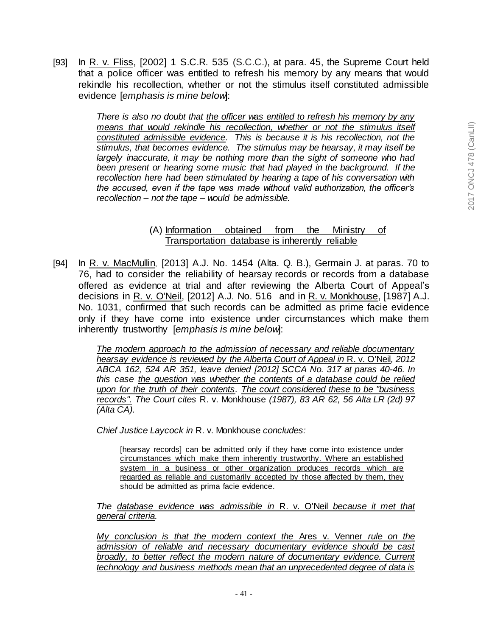[93] In R. v. Fliss, [2002] 1 S.C.R. 535 (S.C.C.), at para. 45, the Supreme Court held that a police officer was entitled to refresh his memory by any means that would rekindle his recollection, whether or not the stimulus itself constituted admissible evidence [*emphasis is mine below*]:

> *There is also no doubt that the officer was entitled to refresh his memory by any means that would rekindle his recollection, whether or not the stimulus itself constituted admissible evidence. This is because it is his recollection, not the stimulus, that becomes evidence. The stimulus may be hearsay, it may itself be largely inaccurate, it may be nothing more than the sight of someone who had been present or hearing some music that had played in the background. If the recollection here had been stimulated by hearing a tape of his conversation with the accused, even if the tape was made without valid authorization, the officer's recollection – not the tape – would be admissible.*

### (A) Information obtained from the Ministry of Transportation database is inherently reliable

[94] In R. v. MacMullin, [2013] A.J. No. 1454 (Alta. Q. B.), Germain J. at paras. 70 to 76, had to consider the reliability of hearsay records or records from a database offered as evidence at trial and after reviewing the Alberta Court of Appeal's decisions in R. v. O'Neil, [2012] A.J. No. 516 and in R. v. Monkhouse, [1987] A.J. No. 1031, confirmed that such records can be admitted as prime facie evidence only if they have come into existence under circumstances which make them inherently trustworthy [*emphasis is mine below*]:

> *The modern approach to the admission of necessary and reliable documentary hearsay evidence is reviewed by the Alberta Court of Appeal in* R. v. O'Neil*, [2012](https://www.lexisnexis.com/ca/legal/search/runRemoteLink.do?A=0.02923927132762305&bct=A&service=citation&risb=21_T26182524860&langcountry=CA&linkInfo=F%23CA%23ABCA%23sel1%252012%25year%252012%25decisiondate%252012%25onum%25162%25)  [ABCA 162,](https://www.lexisnexis.com/ca/legal/search/runRemoteLink.do?A=0.02923927132762305&bct=A&service=citation&risb=21_T26182524860&langcountry=CA&linkInfo=F%23CA%23ABCA%23sel1%252012%25year%252012%25decisiondate%252012%25onum%25162%25) [524 AR 351,](https://www.lexisnexis.com/ca/legal/search/runRemoteLink.do?A=0.814800620927294&bct=A&service=citation&risb=21_T26182524860&langcountry=CA&linkInfo=F%23CA%23AR%23vol%25524%25page%25351%25sel2%25524%25) leave denie[d \[2012\] SCCA No. 317](https://www.lexisnexis.com/ca/legal/search/runRemoteLink.do?A=0.5870243433731809&bct=A&service=citation&risb=21_T26182524860&langcountry=CA&linkInfo=F%23CA%23SCCA%23ref%25317%25sel1%252012%25year%252012%25) at paras 40-46. In this case the question was whether the contents of a database could be relied upon for the truth of their contents. The court considered these to be "business records". The Court cites* R. v. Monkhouse *[\(1987\), 83 AR 62](https://www.lexisnexis.com/ca/legal/search/runRemoteLink.do?A=0.7381634709371624&bct=A&service=citation&risb=21_T26182524860&langcountry=CA&linkInfo=F%23CA%23AR%23vol%2583%25sel1%251987%25page%2562%25year%251987%25sel2%2583%25decisiondate%251987%25)[, 56 Alta LR \(2d\) 97](https://www.lexisnexis.com/ca/legal/search/runRemoteLink.do?A=0.6747736850526773&bct=A&service=citation&risb=21_T26182524860&langcountry=CA&linkInfo=F%23CA%23ALR2%23vol%2556%25page%2597%25sel2%2556%25) (Alta CA).*

*Chief Justice Laycock in* R. v. Monkhouse *concludes:*

[hearsay records] can be admitted only if they have come into existence under circumstances which make them inherently trustworthy. Where an established system in a business or other organization produces records which are regarded as reliable and customarily accepted by those affected by them, they should be admitted as prima facie evidence.

*The database evidence was admissible in* R. v. O'Neil *because it met that general criteria.*

*My conclusion is that the modern context the* Ares v. Venner *rule on the admission of reliable and necessary documentary evidence should be cast broadly, to better reflect the modern nature of documentary evidence. Current technology and business methods mean that an unprecedented degree of data is*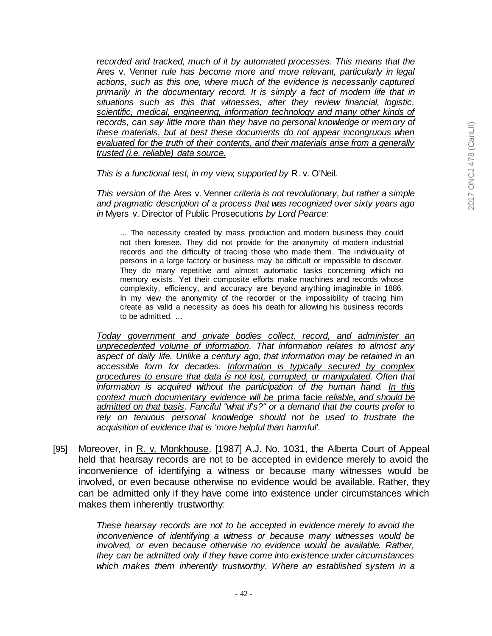*recorded and tracked, much of it by automated processes. This means that the*  Ares v. Venner *rule has become more and more relevant, particularly in legal actions, such as this one, where much of the evidence is necessarily captured primarily in the documentary record. It is simply a fact of modern life that in situations such as this that witnesses, after they review financial, logistic, scientific, medical, engineering, information technology and many other kinds of records, can say little more than they have no personal knowledge or memory of these materials, but at best these documents do not appear incongruous when evaluated for the truth of their contents, and their materials arise from a generally trusted (i.e. reliable) data source.*

*This is a functional test, in my view, supported by* R. v. O'Neil*.*

*This version of the* Ares v. Venner *criteria is not revolutionary, but rather a simple and pragmatic description of a process that was recognized over sixty years ago in* Myers v. Director of Public Prosecutions *by Lord Pearce:*

... The necessity created by mass production and modern business they could not then foresee. They did not provide for the anonymity of modern industrial records and the difficulty of tracing those who made them. The individuality of persons in a large factory or business may be difficult or impossible to discover. They do many repetitive and almost automatic tasks concerning which no memory exists. Yet their composite efforts make machines and records whose complexity, efficiency, and accuracy are beyond anything imaginable in 1886. In my view the anonymity of the recorder or the impossibility of tracing him create as valid a necessity as does his death for allowing his business records to be admitted. ...

*Today government and private bodies collect, record, and administer an unprecedented volume of information. That information relates to almost any aspect of daily life. Unlike a century ago, that information may be retained in an accessible form for decades. Information is typically secured by complex procedures to ensure that data is not lost, corrupted, or manipulated. Often that information is acquired without the participation of the human hand. In this context much documentary evidence will be* prima facie *reliable, and should be admitted on that basis. Fanciful "what if's?" or a demand that the courts prefer to rely on tenuous personal knowledge should not be used to frustrate the acquisition of evidence that is 'more helpful than harmful'.*

[95] Moreover, in R. v. Monkhouse, [1987] A.J. No. 1031, the Alberta Court of Appeal held that hearsay records are not to be accepted in evidence merely to avoid the inconvenience of identifying a witness or because many witnesses would be involved, or even because otherwise no evidence would be available. Rather, they can be admitted only if they have come into existence under circumstances which makes them inherently trustworthy:

> *These hearsay records are not to be accepted in evidence merely to avoid the inconvenience of identifying a witness or because many witnesses would be involved, or even because otherwise no evidence would be available. Rather, they can be admitted only if they have come into existence under circumstances which makes them inherently trustworthy. Where an established system in a*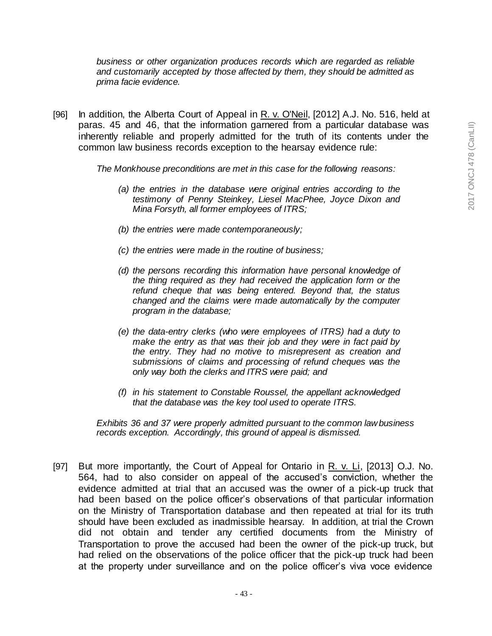*business or other organization produces records which are regarded as reliable and customarily accepted by those affected by them, they should be admitted as prima facie evidence.*

[96] In addition, the Alberta Court of Appeal in R. v. O'Neil, [2012] A.J. No. 516, held at paras. 45 and 46, that the information garnered from a particular database was inherently reliable and properly admitted for the truth of its contents under the common law business records exception to the hearsay evidence rule:

*The Monkhouse preconditions are met in this case for the following reasons:*

- *(a) the entries in the database were original entries according to the testimony of Penny Steinkey, Liesel MacPhee, Joyce Dixon and Mina Forsyth, all former employees of ITRS;*
- *(b) the entries were made contemporaneously;*
- *(c) the entries were made in the routine of business;*
- *(d) the persons recording this information have personal knowledge of the thing required as they had received the application form or the refund cheque that was being entered. Beyond that, the status changed and the claims were made automatically by the computer program in the database;*
- *(e) the data-entry clerks (who were employees of ITRS) had a duty to make the entry as that was their job and they were in fact paid by the entry. They had no motive to misrepresent as creation and submissions of claims and processing of refund cheques was the only way both the clerks and ITRS were paid; and*
- *(f) in his statement to Constable Roussel, the appellant acknowledged that the database was the key tool used to operate ITRS.*

*Exhibits 36 and 37 were properly admitted pursuant to the common law business records exception. Accordingly, this ground of appeal is dismissed.*

[97] But more importantly, the Court of Appeal for Ontario in R. v. Li, [2013] O.J. No. 564, had to also consider on appeal of the accused's conviction, whether the evidence admitted at trial that an accused was the owner of a pick-up truck that had been based on the police officer's observations of that particular information on the Ministry of Transportation database and then repeated at trial for its truth should have been excluded as inadmissible hearsay. In addition, at trial the Crown did not obtain and tender any certified documents from the Ministry of Transportation to prove the accused had been the owner of the pick-up truck, but had relied on the observations of the police officer that the pick-up truck had been at the property under surveillance and on the police officer's viva voce evidence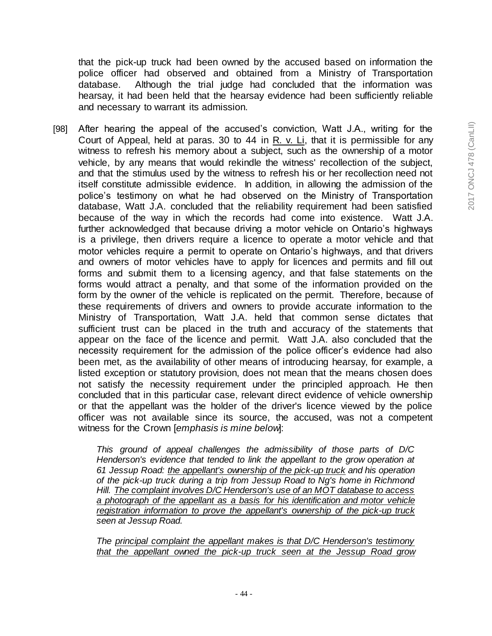that the pick-up truck had been owned by the accused based on information the police officer had observed and obtained from a Ministry of Transportation database. Although the trial judge had concluded that the information was hearsay, it had been held that the hearsay evidence had been sufficiently reliable and necessary to warrant its admission.

[98] After hearing the appeal of the accused's conviction, Watt J.A., writing for the Court of Appeal, held at paras. 30 to 44 in R. v. Li, that it is permissible for any witness to refresh his memory about a subject, such as the ownership of a motor vehicle, by any means that would rekindle the witness' recollection of the subject, and that the stimulus used by the witness to refresh his or her recollection need not itself constitute admissible evidence. In addition, in allowing the admission of the police's testimony on what he had observed on the Ministry of Transportation database, Watt J.A. concluded that the reliability requirement had been satisfied because of the way in which the records had come into existence. Watt J.A. further acknowledged that because driving a motor vehicle on Ontario's highways is a privilege, then drivers require a licence to operate a motor vehicle and that motor vehicles require a permit to operate on Ontario's highways, and that drivers and owners of motor vehicles have to apply for licences and permits and fill out forms and submit them to a licensing agency, and that false statements on the forms would attract a penalty, and that some of the information provided on the form by the owner of the vehicle is replicated on the permit. Therefore, because of these requirements of drivers and owners to provide accurate information to the Ministry of Transportation, Watt J.A. held that common sense dictates that sufficient trust can be placed in the truth and accuracy of the statements that appear on the face of the licence and permit. Watt J.A. also concluded that the necessity requirement for the admission of the police officer's evidence had also been met, as the availability of other means of introducing hearsay, for example, a listed exception or statutory provision, does not mean that the means chosen does not satisfy the necessity requirement under the principled approach. He then concluded that in this particular case, relevant direct evidence of vehicle ownership or that the appellant was the holder of the driver's licence viewed by the police officer was not available since its source, the accused, was not a competent witness for the Crown [*emphasis is mine below*]:

> *This ground of appeal challenges the admissibility of those parts of D/C Henderson's evidence that tended to link the appellant to the grow operation at 61 Jessup Road: the appellant's ownership of the pick-up truck and his operation of the pick-up truck during a trip from Jessup Road to Ng's home in Richmond Hill. The complaint involves D/C Henderson's use of an MOT database to access a photograph of the appellant as a basis for his identification and motor vehicle registration information to prove the appellant's ownership of the pick-up truck seen at Jessup Road.*

> *The principal complaint the appellant makes is that D/C Henderson's testimony that the appellant owned the pick-up truck seen at the Jessup Road grow*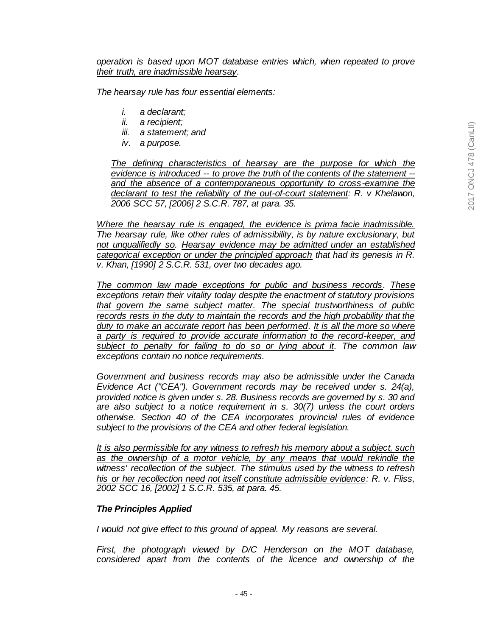*The hearsay rule has four essential elements:*

- *i. a declarant;*
- *ii. a recipient;*
- *iii. a statement; and*
- *iv. a purpose.*

*The defining characteristics of hearsay are the purpose for which the evidence is introduced -- to prove the truth of the contents of the statement - and the absence of a contemporaneous opportunity to cross-examine the declarant to test the reliability of the out-of-court statement: R. v Khelawon, 2006 SCC 57, [2006] 2 S.C.R. 787, at para. 35.*

*Where the hearsay rule is engaged, the evidence is prima facie inadmissible. The hearsay rule, like other rules of admissibility, is by nature exclusionary, but not unqualifiedly so. Hearsay evidence may be admitted under an established categorical exception or under the principled approach that had its genesis in R. v. Khan, [1990] 2 S.C.R. 531, over two decades ago.*

*The common law made exceptions for public and business records. These exceptions retain their vitality today despite the enactment of statutory provisions that govern the same subject matter. The special trustworthiness of public*  records rests in the duty to maintain the records and the high probability that the *duty to make an accurate report has been performed. It is all the more so where a party is required to provide accurate information to the record-keeper, and subject to penalty for failing to do so or lying about it. The common law exceptions contain no notice requirements.*

*Government and business records may also be admissible under the Canada Evidence Act ("CEA"). Government records may be received under s. 24(a), provided notice is given under s. 28. Business records are governed by s. 30 and are also subject to a notice requirement in s. 30(7) unless the court orders otherwise. Section 40 of the CEA incorporates provincial rules of evidence subject to the provisions of the CEA and other federal legislation.*

*It is also permissible for any witness to refresh his memory about a subject, such as the ownership of a motor vehicle, by any means that would rekindle the witness' recollection of the subject. The stimulus used by the witness to refresh his or her recollection need not itself constitute admissible evidence: R. v. Fliss, 2002 SCC 16, [2002] 1 S.C.R. 535, at para. 45.*

### *The Principles Applied*

*I would not give effect to this ground of appeal. My reasons are several.*

*First, the photograph viewed by D/C Henderson on the MOT database, considered apart from the contents of the licence and ownership of the*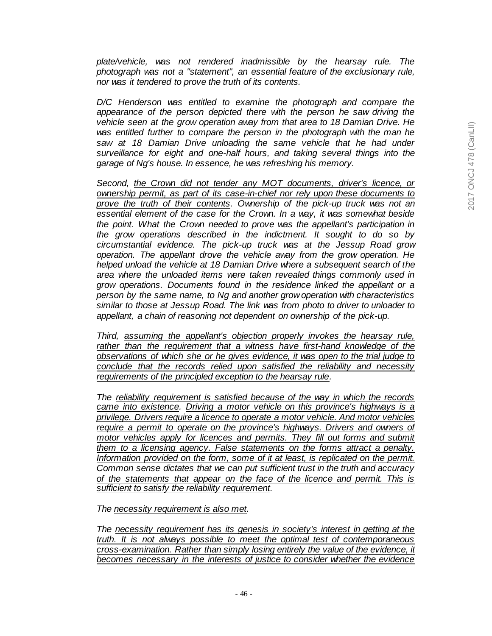*plate/vehicle, was not rendered inadmissible by the hearsay rule. The photograph was not a "statement", an essential feature of the exclusionary rule, nor was it tendered to prove the truth of its contents.*

*D/C Henderson was entitled to examine the photograph and compare the appearance of the person depicted there with the person he saw driving the vehicle seen at the grow operation away from that area to 18 Damian Drive. He was entitled further to compare the person in the photograph with the man he saw at 18 Damian Drive unloading the same vehicle that he had under surveillance for eight and one-half hours, and taking several things into the garage of Ng's house. In essence, he was refreshing his memory.*

*Second, the Crown did not tender any MOT documents, driver's licence, or ownership permit, as part of its case-in-chief nor rely upon these documents to prove the truth of their contents. Ownership of the pick-up truck was not an essential element of the case for the Crown. In a way, it was somewhat beside the point. What the Crown needed to prove was the appellant's participation in the grow operations described in the indictment. It sought to do so by circumstantial evidence. The pick-up truck was at the Jessup Road grow operation. The appellant drove the vehicle away from the grow operation. He helped unload the vehicle at 18 Damian Drive where a subsequent search of the area where the unloaded items were taken revealed things commonly used in grow operations. Documents found in the residence linked the appellant or a person by the same name, to Ng and another grow operation with characteristics similar to those at Jessup Road. The link was from photo to driver to unloader to appellant, a chain of reasoning not dependent on ownership of the pick-up.*

*Third, assuming the appellant's objection properly invokes the hearsay rule,*  rather than the requirement that a witness have first-hand knowledge of the *observations of which she or he gives evidence, it was open to the trial judge to conclude that the records relied upon satisfied the reliability and necessity requirements of the principled exception to the hearsay rule.*

*The reliability requirement is satisfied because of the way in which the records came into existence. Driving a motor vehicle on this province's highways is a privilege. Drivers require a licence to operate a motor vehicle. And motor vehicles require a permit to operate on the province's highways. Drivers and owners of motor vehicles apply for licences and permits. They fill out forms and submit them to a licensing agency. False statements on the forms attract a penalty. Information provided on the form, some of it at least, is replicated on the permit. Common sense dictates that we can put sufficient trust in the truth and accuracy of the statements that appear on the face of the licence and permit. This is sufficient to satisfy the reliability requirement.*

#### *The necessity requirement is also met.*

*The necessity requirement has its genesis in society's interest in getting at the truth. It is not always possible to meet the optimal test of contemporaneous cross-examination. Rather than simply losing entirely the value of the evidence, it becomes necessary in the interests of justice to consider whether the evidence*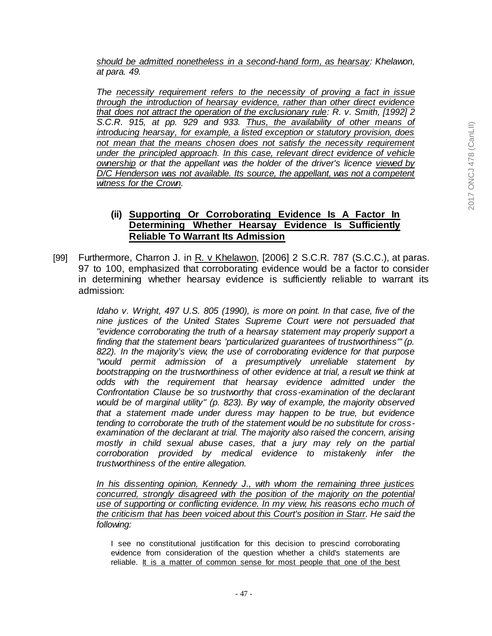*should be admitted nonetheless in a second-hand form, as hearsay: Khelawon, at para. 49.*

*The necessity requirement refers to the necessity of proving a fact in issue through the introduction of hearsay evidence, rather than other direct evidence that does not attract the operation of the exclusionary rule: R. v. Smith, [1992] 2 S.C.R. 915, at pp. 929 and 933. Thus, the availability of other means of introducing hearsay, for example, a listed exception or statutory provision, does not mean that the means chosen does not satisfy the necessity requirement under the principled approach. In this case, relevant direct evidence of vehicle ownership or that the appellant was the holder of the driver's licence viewed by D/C Henderson was not available. Its source, the appellant, was not a competent witness for the Crown.*

## **(ii) Supporting Or Corroborating Evidence Is A Factor In Determining Whether Hearsay Evidence Is Sufficiently Reliable To Warrant Its Admission**

[99] Furthermore, Charron J. in R. v Khelawon, [2006] 2 S.C.R. 787 (S.C.C.), at paras. 97 to 100, emphasized that corroborating evidence would be a factor to consider in determining whether hearsay evidence is sufficiently reliable to warrant its admission:

> *Idaho v. Wright, 497 U.S. 805 (1990), is more on point. In that case, five of the nine justices of the United States Supreme Court were not persuaded that "evidence corroborating the truth of a hearsay statement may properly support a finding that the statement bears 'particularized guarantees of trustworthiness'" (p. 822). In the majority's view, the use of corroborating evidence for that purpose "would permit admission of a presumptively unreliable statement by bootstrapping on the trustworthiness of other evidence at trial, a result we think at odds with the requirement that hearsay evidence admitted under the Confrontation Clause be so trustworthy that cross-examination of the declarant would be of marginal utility" (p. 823). By way of example, the majority observed that a statement made under duress may happen to be true, but evidence tending to corroborate the truth of the statement would be no substitute for crossexamination of the declarant at trial. The majority also raised the concern, arising mostly in child sexual abuse cases, that a jury may rely on the partial corroboration provided by medical evidence to mistakenly infer the trustworthiness of the entire allegation.*

> *In his dissenting opinion, Kennedy J., with whom the remaining three justices concurred, strongly disagreed with the position of the majority on the potential use of supporting or conflicting evidence. In my view, his reasons echo much of the criticism that has been voiced about this Court's position in Starr. He said the following:*

I see no constitutional justification for this decision to prescind corroborating evidence from consideration of the question whether a child's statements are reliable. It is a matter of common sense for most people that one of the best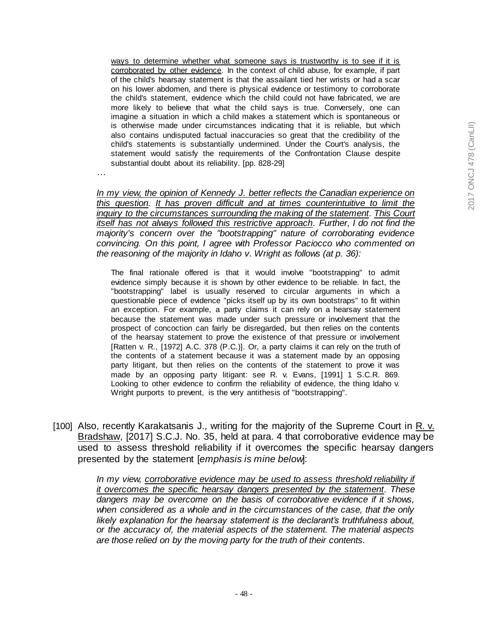ways to determine whether what someone says is trustworthy is to see if it is corroborated by other evidence. In the context of child abuse, for example, if part of the child's hearsay statement is that the assailant tied her wrists or had a scar on his lower abdomen, and there is physical evidence or testimony to corroborate the child's statement, evidence which the child could not have fabricated, we are more likely to believe that what the child says is true. Conversely, one can imagine a situation in which a child makes a statement which is spontaneous or is otherwise made under circumstances indicating that it is reliable, but which also contains undisputed factual inaccuracies so great that the credibility of the child's statements is substantially undermined. Under the Court's analysis, the statement would satisfy the requirements of the Confrontation Clause despite substantial doubt about its reliability. [pp. 828-29]

*…*

*In my view, the opinion of Kennedy J. better reflects the Canadian experience on this question. It has proven difficult and at times counterintuitive to limit the inquiry to the circumstances surrounding the making of the statement. This Court itself has not always followed this restrictive approach. Further, I do not find the majority's concern over the "bootstrapping" nature of corroborating evidence convincing. On this point, I agree with Professor Paciocco who commented on the reasoning of the majority in Idaho v. Wright as follows (at p. 36):*

The final rationale offered is that it would involve "bootstrapping" to admit evidence simply because it is shown by other evidence to be reliable. In fact, the "bootstrapping" label is usually reserved to circular arguments in which a questionable piece of evidence "picks itself up by its own bootstraps" to fit within an exception. For example, a party claims it can rely on a hearsay statement because the statement was made under such pressure or involvement that the prospect of concoction can fairly be disregarded, but then relies on the contents of the hearsay statement to prove the existence of that pressure or involvement [Ratten v. R., [1972] A.C. 378 (P.C.)]. Or, a party claims it can rely on the truth of the contents of a statement because it was a statement made by an opposing party litigant, but then relies on the contents of the statement to prove it was made by an opposing party litigant: see R. v. Evans, [1991] 1 S.C.R. 869. Looking to other evidence to confirm the reliability of evidence, the thing Idaho v. Wright purports to prevent, is the very antithesis of "bootstrapping".

[100] Also, recently Karakatsanis J., writing for the majority of the Supreme Court in R. v. Bradshaw, [2017] S.C.J. No. 35, held at para. 4 that corroborative evidence may be used to assess threshold reliability if it overcomes the specific hearsay dangers presented by the statement [*emphasis is mine below*]:

> *In my view, corroborative evidence may be used to assess threshold reliability if it overcomes the specific hearsay dangers presented by the statement. These dangers may be overcome on the basis of corroborative evidence if it shows, when considered as a whole and in the circumstances of the case, that the only likely explanation for the hearsay statement is the declarant's truthfulness about, or the accuracy of, the material aspects of the statement. The material aspects are those relied on by the moving party for the truth of their contents.*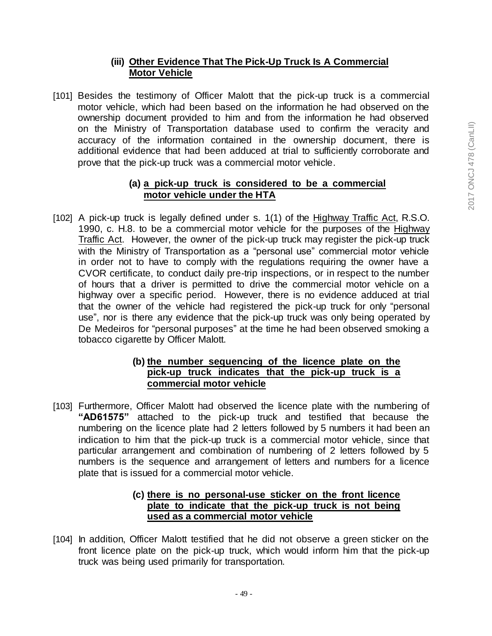# **(iii) Other Evidence That The Pick-Up Truck Is A Commercial Motor Vehicle**

[101] Besides the testimony of Officer Malott that the pick-up truck is a commercial motor vehicle, which had been based on the information he had observed on the ownership document provided to him and from the information he had observed on the Ministry of Transportation database used to confirm the veracity and accuracy of the information contained in the ownership document, there is additional evidence that had been adduced at trial to sufficiently corroborate and prove that the pick-up truck was a commercial motor vehicle.

# **(a) a pick-up truck is considered to be a commercial motor vehicle under the HTA**

[102] A pick-up truck is legally defined under s. 1(1) of the Highway Traffic Act, R.S.O. 1990, c. H.8. to be a commercial motor vehicle for the purposes of the Highway Traffic Act. However, the owner of the pick-up truck may register the pick-up truck with the Ministry of Transportation as a "personal use" commercial motor vehicle in order not to have to comply with the regulations requiring the owner have a CVOR certificate, to conduct daily pre-trip inspections, or in respect to the number of hours that a driver is permitted to drive the commercial motor vehicle on a highway over a specific period. However, there is no evidence adduced at trial that the owner of the vehicle had registered the pick-up truck for only "personal use", nor is there any evidence that the pick-up truck was only being operated by De Medeiros for "personal purposes" at the time he had been observed smoking a tobacco cigarette by Officer Malott.

### **(b) the number sequencing of the licence plate on the pick-up truck indicates that the pick-up truck is a commercial motor vehicle**

[103] Furthermore, Officer Malott had observed the licence plate with the numbering of **"AD61575"** attached to the pick-up truck and testified that because the numbering on the licence plate had 2 letters followed by 5 numbers it had been an indication to him that the pick-up truck is a commercial motor vehicle, since that particular arrangement and combination of numbering of 2 letters followed by 5 numbers is the sequence and arrangement of letters and numbers for a licence plate that is issued for a commercial motor vehicle.

### **(c) there is no personal-use sticker on the front licence plate to indicate that the pick-up truck is not being used as a commercial motor vehicle**

[104] In addition, Officer Malott testified that he did not observe a green sticker on the front licence plate on the pick-up truck, which would inform him that the pick-up truck was being used primarily for transportation.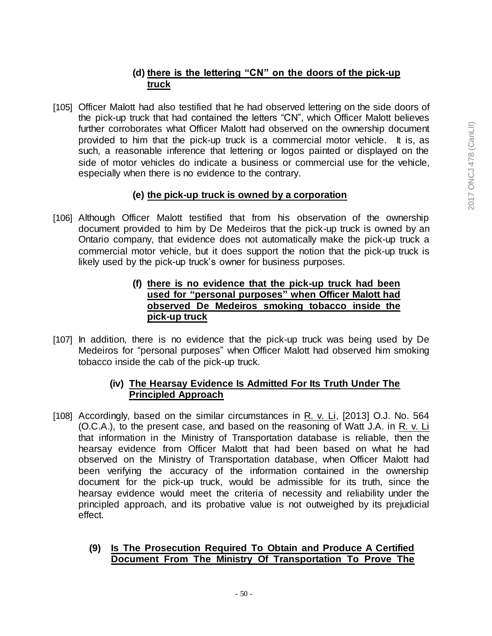# **(d) there is the lettering "CN" on the doors of the pick-up truck**

[105] Officer Malott had also testified that he had observed lettering on the side doors of the pick-up truck that had contained the letters "CN", which Officer Malott believes further corroborates what Officer Malott had observed on the ownership document provided to him that the pick-up truck is a commercial motor vehicle. It is, as such, a reasonable inference that lettering or logos painted or displayed on the side of motor vehicles do indicate a business or commercial use for the vehicle, especially when there is no evidence to the contrary.

# **(e) the pick-up truck is owned by a corporation**

[106] Although Officer Malott testified that from his observation of the ownership document provided to him by De Medeiros that the pick-up truck is owned by an Ontario company, that evidence does not automatically make the pick-up truck a commercial motor vehicle, but it does support the notion that the pick-up truck is likely used by the pick-up truck's owner for business purposes.

# **(f) there is no evidence that the pick-up truck had been used for "personal purposes" when Officer Malott had observed De Medeiros smoking tobacco inside the pick-up truck**

[107] In addition, there is no evidence that the pick-up truck was being used by De Medeiros for "personal purposes" when Officer Malott had observed him smoking tobacco inside the cab of the pick-up truck.

# **(iv) The Hearsay Evidence Is Admitted For Its Truth Under The Principled Approach**

[108] Accordingly, based on the similar circumstances in R. v. Li, [2013] O.J. No. 564 (O.C.A.), to the present case, and based on the reasoning of Watt J.A. in R. v. Li that information in the Ministry of Transportation database is reliable, then the hearsay evidence from Officer Malott that had been based on what he had observed on the Ministry of Transportation database, when Officer Malott had been verifying the accuracy of the information contained in the ownership document for the pick-up truck, would be admissible for its truth, since the hearsay evidence would meet the criteria of necessity and reliability under the principled approach, and its probative value is not outweighed by its prejudicial effect.

# **(9) Is The Prosecution Required To Obtain and Produce A Certified Document From The Ministry Of Transportation To Prove The**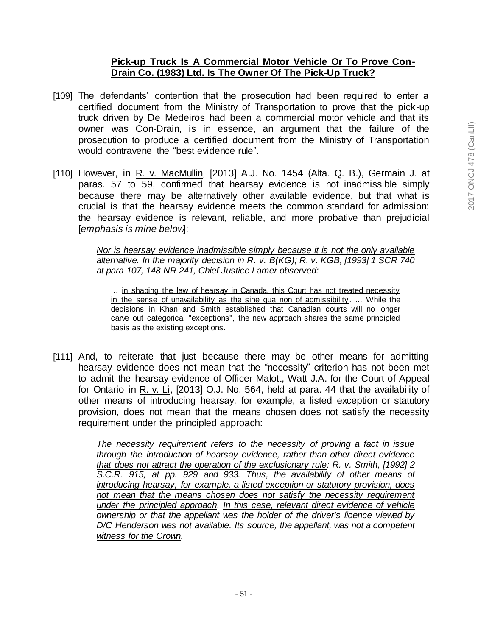# **Pick-up Truck Is A Commercial Motor Vehicle Or To Prove Con-Drain Co. (1983) Ltd. Is The Owner Of The Pick-Up Truck?**

- [109] The defendants' contention that the prosecution had been required to enter a certified document from the Ministry of Transportation to prove that the pick-up truck driven by De Medeiros had been a commercial motor vehicle and that its owner was Con-Drain, is in essence, an argument that the failure of the prosecution to produce a certified document from the Ministry of Transportation would contravene the "best evidence rule".
- [110] However, in R. v. MacMullin, [2013] A.J. No. 1454 (Alta. Q. B.), Germain J. at paras. 57 to 59, confirmed that hearsay evidence is not inadmissible simply because there may be alternatively other available evidence, but that what is crucial is that the hearsay evidence meets the common standard for admission: the hearsay evidence is relevant, reliable, and more probative than prejudicial [*emphasis is mine below*]:

*Nor is hearsay evidence inadmissible simply because it is not the only available alternative. In the majority decision in R. v. B(KG); R. v. KGB, [1993] 1 SCR 740 at para 107, 148 NR 241, Chief Justice Lamer observed:*

... in shaping the law of hearsay in Canada, this Court has not treated necessity in the sense of unavailability as the sine qua non of admissibility. ... While the decisions in Khan and Smith established that Canadian courts will no longer carve out categorical "exceptions", the new approach shares the same principled basis as the existing exceptions.

[111] And, to reiterate that just because there may be other means for admitting hearsay evidence does not mean that the "necessity" criterion has not been met to admit the hearsay evidence of Officer Malott, Watt J.A. for the Court of Appeal for Ontario in R. v. Li, [2013] O.J. No. 564, held at para. 44 that the availability of other means of introducing hearsay, for example, a listed exception or statutory provision, does not mean that the means chosen does not satisfy the necessity requirement under the principled approach:

> *The necessity requirement refers to the necessity of proving a fact in issue through the introduction of hearsay evidence, rather than other direct evidence that does not attract the operation of the exclusionary rule: R. v. Smith, [1992] 2 S.C.R. 915, at pp. 929 and 933. Thus, the availability of other means of introducing hearsay, for example, a listed exception or statutory provision, does not mean that the means chosen does not satisfy the necessity requirement under the principled approach. In this case, relevant direct evidence of vehicle ownership or that the appellant was the holder of the driver's licence viewed by D/C Henderson was not available. Its source, the appellant, was not a competent witness for the Crown.*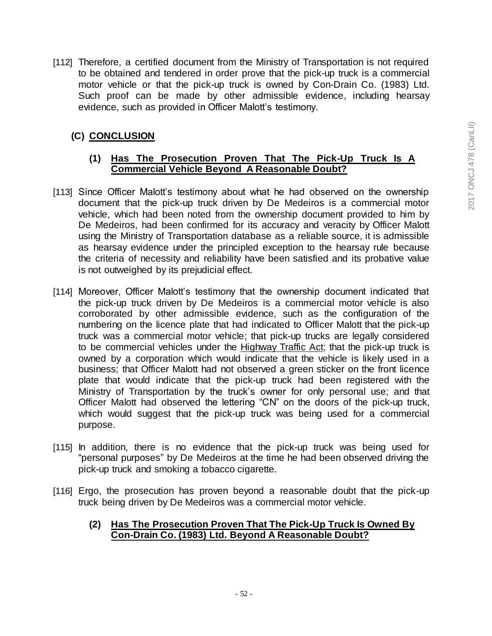[112] Therefore, a certified document from the Ministry of Transportation is not required to be obtained and tendered in order prove that the pick-up truck is a commercial motor vehicle or that the pick-up truck is owned by Con-Drain Co. (1983) Ltd. Such proof can be made by other admissible evidence, including hearsay evidence, such as provided in Officer Malott's testimony.

# **(C) CONCLUSION**

## **(1) Has The Prosecution Proven That The Pick-Up Truck Is A Commercial Vehicle Beyond A Reasonable Doubt?**

- [113] Since Officer Malott's testimony about what he had observed on the ownership document that the pick-up truck driven by De Medeiros is a commercial motor vehicle, which had been noted from the ownership document provided to him by De Medeiros, had been confirmed for its accuracy and veracity by Officer Malott using the Ministry of Transportation database as a reliable source, it is admissible as hearsay evidence under the principled exception to the hearsay rule because the criteria of necessity and reliability have been satisfied and its probative value is not outweighed by its prejudicial effect.
- [114] Moreover, Officer Malott's testimony that the ownership document indicated that the pick-up truck driven by De Medeiros is a commercial motor vehicle is also corroborated by other admissible evidence, such as the configuration of the numbering on the licence plate that had indicated to Officer Malott that the pick-up truck was a commercial motor vehicle; that pick-up trucks are legally considered to be commercial vehicles under the Highway Traffic Act; that the pick-up truck is owned by a corporation which would indicate that the vehicle is likely used in a business; that Officer Malott had not observed a green sticker on the front licence plate that would indicate that the pick-up truck had been registered with the Ministry of Transportation by the truck's owner for only personal use; and that Officer Malott had observed the lettering "CN" on the doors of the pick-up truck, which would suggest that the pick-up truck was being used for a commercial purpose.
- [115] In addition, there is no evidence that the pick-up truck was being used for "personal purposes" by De Medeiros at the time he had been observed driving the pick-up truck and smoking a tobacco cigarette.
- [116] Ergo, the prosecution has proven beyond a reasonable doubt that the pick-up truck being driven by De Medeiros was a commercial motor vehicle.

### **(2) Has The Prosecution Proven That The Pick-Up Truck Is Owned By Con-Drain Co. (1983) Ltd. Beyond A Reasonable Doubt?**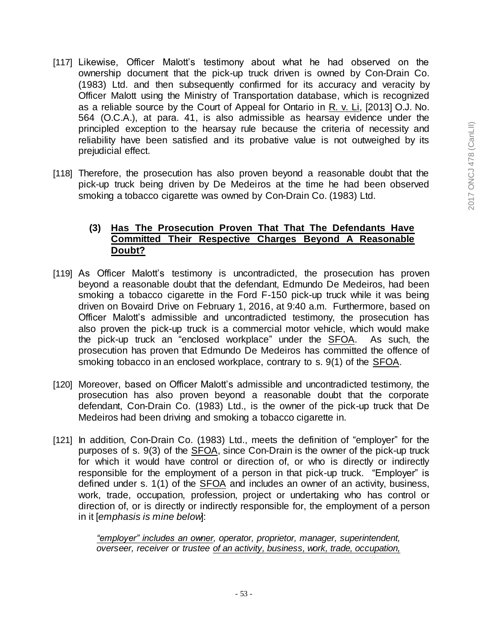- [117] Likewise, Officer Malott's testimony about what he had observed on the ownership document that the pick-up truck driven is owned by Con-Drain Co. (1983) Ltd. and then subsequently confirmed for its accuracy and veracity by Officer Malott using the Ministry of Transportation database, which is recognized as a reliable source by the Court of Appeal for Ontario in R. v. Li, [2013] O.J. No. 564 (O.C.A.), at para. 41, is also admissible as hearsay evidence under the principled exception to the hearsay rule because the criteria of necessity and reliability have been satisfied and its probative value is not outweighed by its prejudicial effect.
- [118] Therefore, the prosecution has also proven beyond a reasonable doubt that the pick-up truck being driven by De Medeiros at the time he had been observed smoking a tobacco cigarette was owned by Con-Drain Co. (1983) Ltd.

# **(3) Has The Prosecution Proven That That The Defendants Have Committed Their Respective Charges Beyond A Reasonable Doubt?**

- [119] As Officer Malott's testimony is uncontradicted, the prosecution has proven beyond a reasonable doubt that the defendant, Edmundo De Medeiros, had been smoking a tobacco cigarette in the Ford F-150 pick-up truck while it was being driven on Bovaird Drive on February 1, 2016, at 9:40 a.m. Furthermore, based on Officer Malott's admissible and uncontradicted testimony, the prosecution has also proven the pick-up truck is a commercial motor vehicle, which would make the pick-up truck an "enclosed workplace" under the **SFOA**. As such, the prosecution has proven that Edmundo De Medeiros has committed the offence of smoking tobacco in an enclosed workplace, contrary to s. 9(1) of the SFOA.
- [120] Moreover, based on Officer Malott's admissible and uncontradicted testimony, the prosecution has also proven beyond a reasonable doubt that the corporate defendant, Con-Drain Co. (1983) Ltd., is the owner of the pick-up truck that De Medeiros had been driving and smoking a tobacco cigarette in.
- [121] In addition, Con-Drain Co. (1983) Ltd., meets the definition of "employer" for the purposes of s. 9(3) of the SFOA, since Con-Drain is the owner of the pick-up truck for which it would have control or direction of, or who is directly or indirectly responsible for the employment of a person in that pick-up truck. "Employer" is defined under s.  $1(1)$  of the  $SFOA$  and includes an owner of an activity, business, work, trade, occupation, profession, project or undertaking who has control or direction of, or is directly or indirectly responsible for, the employment of a person in it [*emphasis is mine below*]:

*"employer" includes an owner, operator, proprietor, manager, superintendent, overseer, receiver or trustee of an activity, business, work, trade, occupation,*